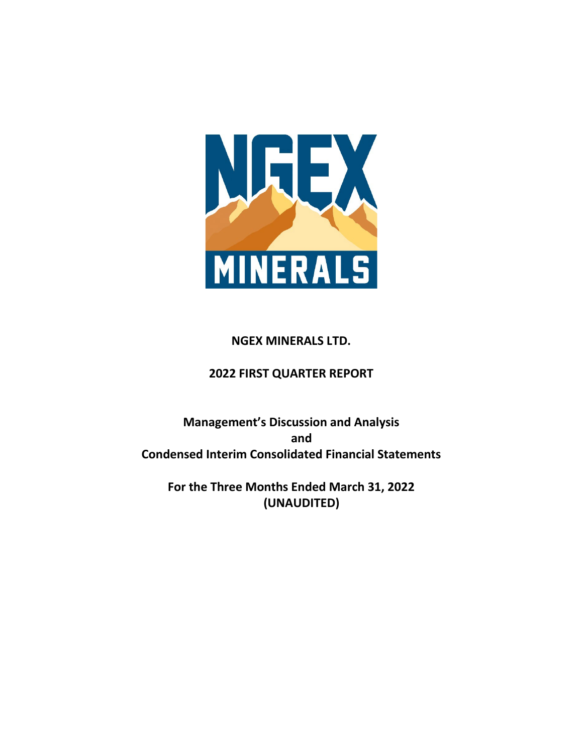

# **NGEX MINERALS LTD.**

# **2022 FIRST QUARTER REPORT**

# **Management's Discussion and Analysis and Condensed Interim Consolidated Financial Statements**

**For the Three Months Ended March 31, 2022 (UNAUDITED)**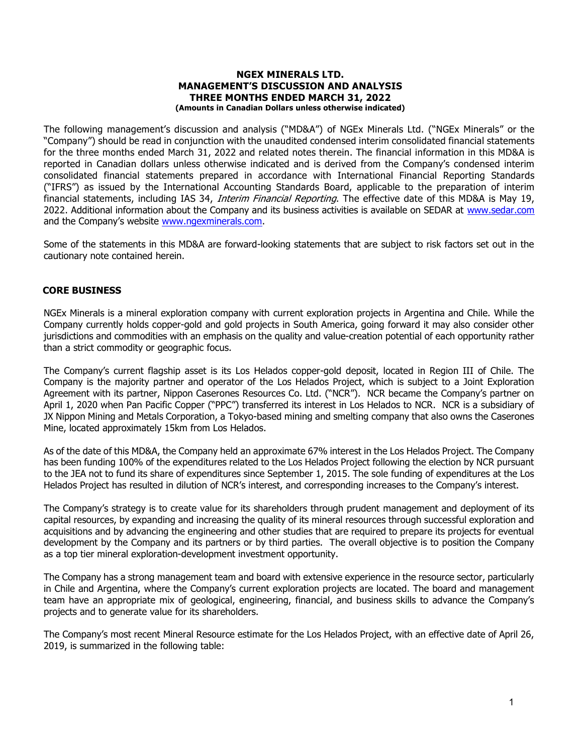#### NGEX MINERALS LTD. MANAGEMENT'S DISCUSSION AND ANALYSIS THREE MONTHS ENDED MARCH 31, 2022 (Amounts in Canadian Dollars unless otherwise indicated)

The following management's discussion and analysis ("MD&A") of NGEx Minerals Ltd. ("NGEx Minerals" or the "Company") should be read in conjunction with the unaudited condensed interim consolidated financial statements for the three months ended March 31, 2022 and related notes therein. The financial information in this MD&A is reported in Canadian dollars unless otherwise indicated and is derived from the Company's condensed interim consolidated financial statements prepared in accordance with International Financial Reporting Standards ("IFRS") as issued by the International Accounting Standards Board, applicable to the preparation of interim financial statements, including IAS 34, *Interim Financial Reporting*. The effective date of this MD&A is May 19, 2022. Additional information about the Company and its business activities is available on SEDAR at www.sedar.com and the Company's website www.ngexminerals.com.

Some of the statements in this MD&A are forward-looking statements that are subject to risk factors set out in the cautionary note contained herein.

# CORE BUSINESS

NGEx Minerals is a mineral exploration company with current exploration projects in Argentina and Chile. While the Company currently holds copper-gold and gold projects in South America, going forward it may also consider other jurisdictions and commodities with an emphasis on the quality and value-creation potential of each opportunity rather than a strict commodity or geographic focus.

The Company's current flagship asset is its Los Helados copper-gold deposit, located in Region III of Chile. The Company is the majority partner and operator of the Los Helados Project, which is subject to a Joint Exploration Agreement with its partner, Nippon Caserones Resources Co. Ltd. ("NCR"). NCR became the Company's partner on April 1, 2020 when Pan Pacific Copper ("PPC") transferred its interest in Los Helados to NCR. NCR is a subsidiary of JX Nippon Mining and Metals Corporation, a Tokyo-based mining and smelting company that also owns the Caserones Mine, located approximately 15km from Los Helados.

As of the date of this MD&A, the Company held an approximate 67% interest in the Los Helados Project. The Company has been funding 100% of the expenditures related to the Los Helados Project following the election by NCR pursuant to the JEA not to fund its share of expenditures since September 1, 2015. The sole funding of expenditures at the Los Helados Project has resulted in dilution of NCR's interest, and corresponding increases to the Company's interest.

The Company's strategy is to create value for its shareholders through prudent management and deployment of its capital resources, by expanding and increasing the quality of its mineral resources through successful exploration and acquisitions and by advancing the engineering and other studies that are required to prepare its projects for eventual development by the Company and its partners or by third parties. The overall objective is to position the Company as a top tier mineral exploration-development investment opportunity.

The Company has a strong management team and board with extensive experience in the resource sector, particularly in Chile and Argentina, where the Company's current exploration projects are located. The board and management team have an appropriate mix of geological, engineering, financial, and business skills to advance the Company's projects and to generate value for its shareholders.

The Company's most recent Mineral Resource estimate for the Los Helados Project, with an effective date of April 26, 2019, is summarized in the following table: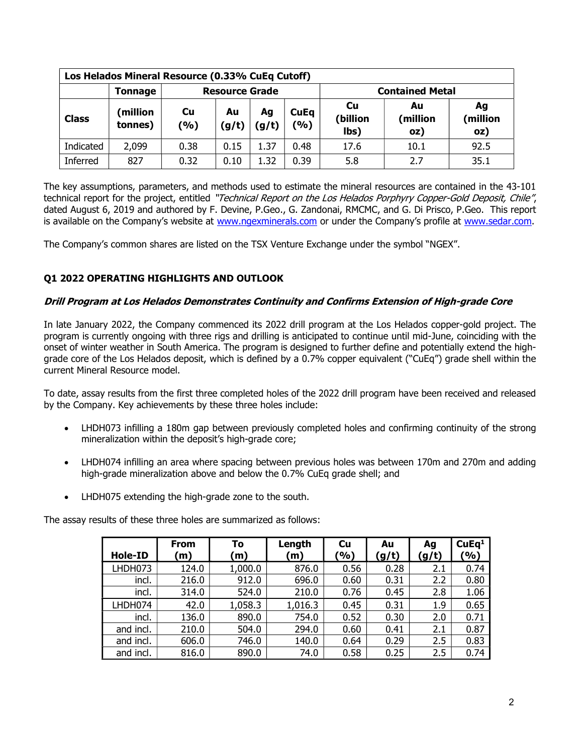|              | Los Helados Mineral Resource (0.33% CuEq Cutoff) |             |                                                 |             |                    |                        |                       |                       |  |  |  |
|--------------|--------------------------------------------------|-------------|-------------------------------------------------|-------------|--------------------|------------------------|-----------------------|-----------------------|--|--|--|
|              | Tonnage                                          |             | <b>Contained Metal</b><br><b>Resource Grade</b> |             |                    |                        |                       |                       |  |  |  |
| <b>Class</b> | (million<br>tonnes)                              | Cu<br>(9/6) | Au<br>(g/t)                                     | Ag<br>(g/t) | <b>CuEq</b><br>(%) | Cu<br>(billion<br>lbs) | Au<br>(million<br>oz) | Ag<br>million)<br>oz) |  |  |  |
| Indicated    | 2,099                                            | 0.38        | 0.15                                            | 1.37        | 0.48               | 17.6                   | 10.1                  | 92.5                  |  |  |  |
| Inferred     | 827                                              | 0.32        | 0.10                                            | 1.32        | 0.39               | 5.8                    | 2.7                   | 35.1                  |  |  |  |

The key assumptions, parameters, and methods used to estimate the mineral resources are contained in the 43-101 technical report for the project, entitled "Technical Report on the Los Helados Porphyry Copper-Gold Deposit, Chile", dated August 6, 2019 and authored by F. Devine, P.Geo., G. Zandonai, RMCMC, and G. Di Prisco, P.Geo. This report is available on the Company's website at www.ngexminerals.com or under the Company's profile at www.sedar.com.

The Company's common shares are listed on the TSX Venture Exchange under the symbol "NGEX".

# Q1 2022 OPERATING HIGHLIGHTS AND OUTLOOK

# Drill Program at Los Helados Demonstrates Continuity and Confirms Extension of High-grade Core

In late January 2022, the Company commenced its 2022 drill program at the Los Helados copper-gold project. The program is currently ongoing with three rigs and drilling is anticipated to continue until mid-June, coinciding with the onset of winter weather in South America. The program is designed to further define and potentially extend the highgrade core of the Los Helados deposit, which is defined by a 0.7% copper equivalent ("CuEq") grade shell within the current Mineral Resource model.

To date, assay results from the first three completed holes of the 2022 drill program have been received and released by the Company. Key achievements by these three holes include:

- LHDH073 infilling a 180m gap between previously completed holes and confirming continuity of the strong mineralization within the deposit's high-grade core;
- LHDH074 infilling an area where spacing between previous holes was between 170m and 270m and adding high-grade mineralization above and below the 0.7% CuEq grade shell; and
- LHDH075 extending the high-grade zone to the south.

The assay results of these three holes are summarized as follows:

| Hole-ID   | <b>From</b><br>(m) | To<br>(m) | Length<br>(m) | Cu<br>'%) | Au<br>(g/t) | Ag<br>(g/t) | CuEq <sup>1</sup><br>(%) |
|-----------|--------------------|-----------|---------------|-----------|-------------|-------------|--------------------------|
| LHDH073   | 124.0              | 1,000.0   | 876.0         | 0.56      | 0.28        | 2.1         | 0.74                     |
| incl.     | 216.0              | 912.0     | 696.0         | 0.60      | 0.31        | 2.2         | 0.80                     |
| incl.     | 314.0              | 524.0     | 210.0         | 0.76      | 0.45        | 2.8         | 1.06                     |
| LHDH074   | 42.0               | 1,058.3   | 1,016.3       | 0.45      | 0.31        | 1.9         | 0.65                     |
| incl.     | 136.0              | 890.0     | 754.0         | 0.52      | 0.30        | 2.0         | 0.71                     |
| and incl. | 210.0              | 504.0     | 294.0         | 0.60      | 0.41        | 2.1         | 0.87                     |
| and incl. | 606.0              | 746.0     | 140.0         | 0.64      | 0.29        | 2.5         | 0.83                     |
| and incl. | 816.0              | 890.0     | 74.0          | 0.58      | 0.25        | 2.5         | 0.74                     |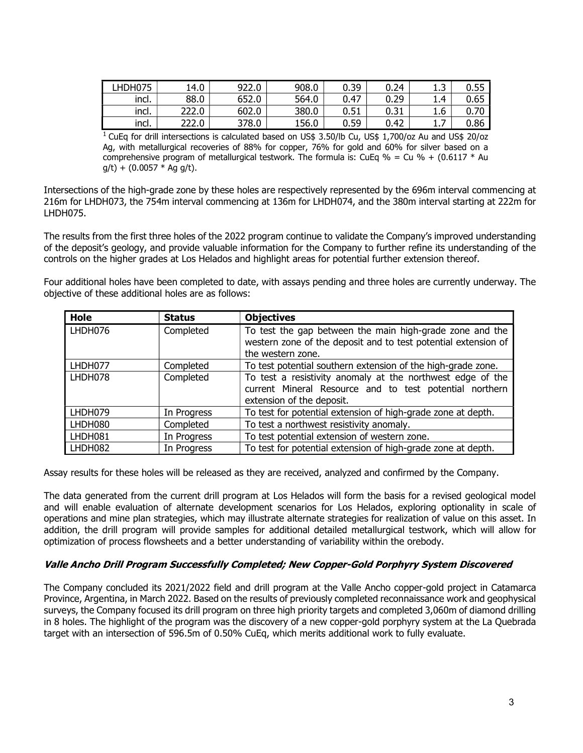| HDH075       | 14.0  | 922.0 | 908.0 | 0.39 | 0.24        | $\mathbf{\Gamma}$<br>ᆠ | 0.55 |
|--------------|-------|-------|-------|------|-------------|------------------------|------|
| incl.        | 88.0  | 652.0 | 564.0 | 0.47 | 0.29        | 1.4                    | 0.65 |
| . .<br>incl. | 222.0 | 602.0 | 380.0 | 0.51 | -21<br>0.31 | 1.6                    | 0.70 |
| incl.        | 222.0 | 378.0 | 156.0 | 0.59 | 0.42        | -<br>.                 | 0.86 |

 $1$  CuEq for drill intersections is calculated based on US\$ 3.50/lb Cu, US\$ 1,700/oz Au and US\$ 20/oz Ag, with metallurgical recoveries of 88% for copper, 76% for gold and 60% for silver based on a comprehensive program of metallurgical testwork. The formula is: CuEq % = Cu % + (0.6117  $*$  Au  $g/t$ ) + (0.0057 \* Ag g/t).

Intersections of the high-grade zone by these holes are respectively represented by the 696m interval commencing at 216m for LHDH073, the 754m interval commencing at 136m for LHDH074, and the 380m interval starting at 222m for LHDH075.

The results from the first three holes of the 2022 program continue to validate the Company's improved understanding of the deposit's geology, and provide valuable information for the Company to further refine its understanding of the controls on the higher grades at Los Helados and highlight areas for potential further extension thereof.

Four additional holes have been completed to date, with assays pending and three holes are currently underway. The objective of these additional holes are as follows:

| Hole    | <b>Status</b> | <b>Objectives</b>                                                                                                                                  |
|---------|---------------|----------------------------------------------------------------------------------------------------------------------------------------------------|
| LHDH076 | Completed     | To test the gap between the main high-grade zone and the<br>western zone of the deposit and to test potential extension of<br>the western zone.    |
| LHDH077 | Completed     | To test potential southern extension of the high-grade zone.                                                                                       |
| LHDH078 | Completed     | To test a resistivity anomaly at the northwest edge of the<br>current Mineral Resource and to test potential northern<br>extension of the deposit. |
| LHDH079 | In Progress   | To test for potential extension of high-grade zone at depth.                                                                                       |
| LHDH080 | Completed     | To test a northwest resistivity anomaly.                                                                                                           |
| LHDH081 | In Progress   | To test potential extension of western zone.                                                                                                       |
| LHDH082 | In Progress   | To test for potential extension of high-grade zone at depth.                                                                                       |

Assay results for these holes will be released as they are received, analyzed and confirmed by the Company.

The data generated from the current drill program at Los Helados will form the basis for a revised geological model and will enable evaluation of alternate development scenarios for Los Helados, exploring optionality in scale of operations and mine plan strategies, which may illustrate alternate strategies for realization of value on this asset. In addition, the drill program will provide samples for additional detailed metallurgical testwork, which will allow for optimization of process flowsheets and a better understanding of variability within the orebody.

# Valle Ancho Drill Program Successfully Completed; New Copper-Gold Porphyry System Discovered

The Company concluded its 2021/2022 field and drill program at the Valle Ancho copper-gold project in Catamarca Province, Argentina, in March 2022. Based on the results of previously completed reconnaissance work and geophysical surveys, the Company focused its drill program on three high priority targets and completed 3,060m of diamond drilling in 8 holes. The highlight of the program was the discovery of a new copper-gold porphyry system at the La Quebrada target with an intersection of 596.5m of 0.50% CuEq, which merits additional work to fully evaluate.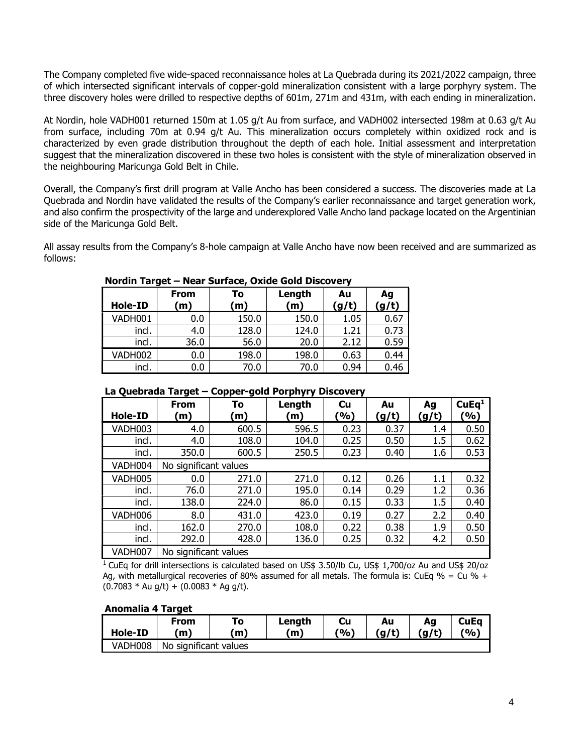The Company completed five wide-spaced reconnaissance holes at La Quebrada during its 2021/2022 campaign, three of which intersected significant intervals of copper-gold mineralization consistent with a large porphyry system. The three discovery holes were drilled to respective depths of 601m, 271m and 431m, with each ending in mineralization.

At Nordin, hole VADH001 returned 150m at 1.05 g/t Au from surface, and VADH002 intersected 198m at 0.63 g/t Au from surface, including 70m at 0.94 g/t Au. This mineralization occurs completely within oxidized rock and is characterized by even grade distribution throughout the depth of each hole. Initial assessment and interpretation suggest that the mineralization discovered in these two holes is consistent with the style of mineralization observed in the neighbouring Maricunga Gold Belt in Chile.

Overall, the Company's first drill program at Valle Ancho has been considered a success. The discoveries made at La Quebrada and Nordin have validated the results of the Company's earlier reconnaissance and target generation work, and also confirm the prospectivity of the large and underexplored Valle Ancho land package located on the Argentinian side of the Maricunga Gold Belt.

All assay results from the Company's 8-hole campaign at Valle Ancho have now been received and are summarized as follows:

| <u>1101 uni Target – Near Suriace, Oxiue Guiu Discuvery</u> |                   |          |               |             |             |  |  |  |  |
|-------------------------------------------------------------|-------------------|----------|---------------|-------------|-------------|--|--|--|--|
| Hole-ID                                                     | <b>From</b><br>m) | To<br>m) | Length<br>(m) | Au<br>(g/t) | Ag<br>(g/t) |  |  |  |  |
| VADH001                                                     | 0.0               | 150.0    | 150.0         | 1.05        | 0.67        |  |  |  |  |
| incl.                                                       | 4.0               | 128.0    | 124.0         | 1.21        | 0.73        |  |  |  |  |
| incl.                                                       | 36.0              | 56.0     | 20.0          | 2.12        | 0.59        |  |  |  |  |
| VADH002                                                     | 0.0               | 198.0    | 198.0         | 0.63        | 0.44        |  |  |  |  |
| incl.                                                       | 0.0               | 70.0     | 70.0          | 0.94        | 0.46        |  |  |  |  |

# Nordin Target – Near Surface, Oxide Gold Discovery

#### La Quebrada Target – Copper-gold Porphyry Discovery

| <b>Hole-ID</b> | <b>From</b><br>(m)    | To<br>(m)             | Length<br>(m) | Cu<br>(%) | Au<br>(g/t) | Ag<br>(g/t) | CuEq <sup>1</sup><br>(%) |  |
|----------------|-----------------------|-----------------------|---------------|-----------|-------------|-------------|--------------------------|--|
| VADH003        | 4.0                   | 600.5                 | 596.5         | 0.23      | 0.37        | 1.4         | 0.50                     |  |
| incl.          | 4.0                   | 108.0                 | 104.0         | 0.25      | 0.50        | 1.5         | 0.62                     |  |
| incl.          | 350.0                 | 600.5                 | 250.5         | 0.23      | 0.40        | 1.6         | 0.53                     |  |
| VADH004        |                       | No significant values |               |           |             |             |                          |  |
| VADH005        | 0.0                   | 271.0                 | 271.0         | 0.12      | 0.26        | $1.1\,$     | 0.32                     |  |
| incl.          | 76.0                  | 271.0                 | 195.0         | 0.14      | 0.29        | 1.2         | 0.36                     |  |
| incl.          | 138.0                 | 224.0                 | 86.0          | 0.15      | 0.33        | $1.5\,$     | 0.40                     |  |
| VADH006        | 8.0                   | 431.0                 | 423.0         | 0.19      | 0.27        | 2.2         | 0.40                     |  |
| incl.          | 162.0                 | 270.0                 | 108.0         | 0.22      | 0.38        | 1.9         | 0.50                     |  |
| incl.          | 292.0                 | 428.0                 | 136.0         | 0.25      | 0.32        | 4.2         | 0.50                     |  |
| VADH007        | No significant values |                       |               |           |             |             |                          |  |

 $1$  CuEq for drill intersections is calculated based on US\$ 3.50/lb Cu, US\$ 1,700/oz Au and US\$ 20/oz Ag, with metallurgical recoveries of 80% assumed for all metals. The formula is: CuEq % = Cu % +  $(0.7083 * Au g/t) + (0.0083 * Ag g/t).$ 

#### Anomalia 4 Target

| Hole-ID | From                  | To | Length | Cu  | Au    | Aq    | <b>CuEq</b>    |
|---------|-----------------------|----|--------|-----|-------|-------|----------------|
|         | m                     | m  | m)     | ′%ነ | (g/t) | (g/t) | $^{\prime}$ %) |
| VADH008 | No significant values |    |        |     |       |       |                |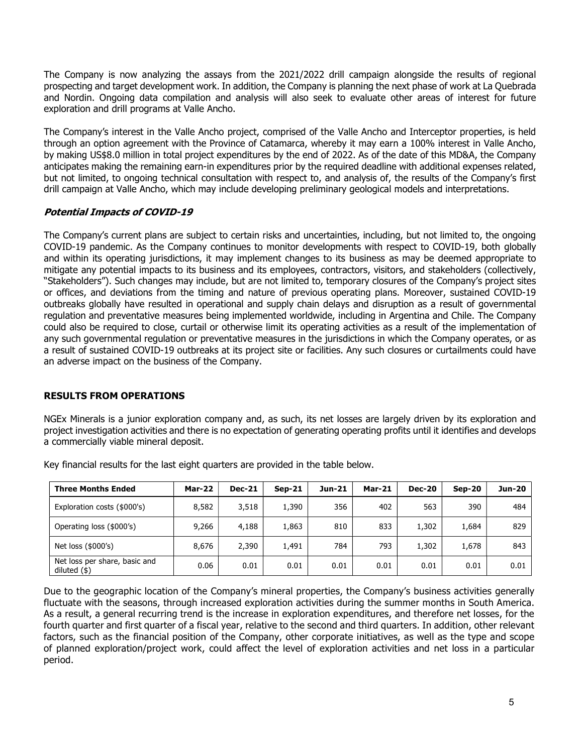The Company is now analyzing the assays from the 2021/2022 drill campaign alongside the results of regional prospecting and target development work. In addition, the Company is planning the next phase of work at La Quebrada and Nordin. Ongoing data compilation and analysis will also seek to evaluate other areas of interest for future exploration and drill programs at Valle Ancho.

The Company's interest in the Valle Ancho project, comprised of the Valle Ancho and Interceptor properties, is held through an option agreement with the Province of Catamarca, whereby it may earn a 100% interest in Valle Ancho, by making US\$8.0 million in total project expenditures by the end of 2022. As of the date of this MD&A, the Company anticipates making the remaining earn-in expenditures prior by the required deadline with additional expenses related, but not limited, to ongoing technical consultation with respect to, and analysis of, the results of the Company's first drill campaign at Valle Ancho, which may include developing preliminary geological models and interpretations.

# Potential Impacts of COVID-19

The Company's current plans are subject to certain risks and uncertainties, including, but not limited to, the ongoing COVID-19 pandemic. As the Company continues to monitor developments with respect to COVID-19, both globally and within its operating jurisdictions, it may implement changes to its business as may be deemed appropriate to mitigate any potential impacts to its business and its employees, contractors, visitors, and stakeholders (collectively, "Stakeholders"). Such changes may include, but are not limited to, temporary closures of the Company's project sites or offices, and deviations from the timing and nature of previous operating plans. Moreover, sustained COVID-19 outbreaks globally have resulted in operational and supply chain delays and disruption as a result of governmental regulation and preventative measures being implemented worldwide, including in Argentina and Chile. The Company could also be required to close, curtail or otherwise limit its operating activities as a result of the implementation of any such governmental regulation or preventative measures in the jurisdictions in which the Company operates, or as a result of sustained COVID-19 outbreaks at its project site or facilities. Any such closures or curtailments could have an adverse impact on the business of the Company.

# RESULTS FROM OPERATIONS

NGEx Minerals is a junior exploration company and, as such, its net losses are largely driven by its exploration and project investigation activities and there is no expectation of generating operating profits until it identifies and develops a commercially viable mineral deposit.

| <b>Three Months Ended</b>                       | <b>Mar-22</b> | <b>Dec-21</b> | $Sen-21$ | Jun-21 | <b>Mar-21</b> | <b>Dec-20</b> | Sep-20 | Jun-20 |
|-------------------------------------------------|---------------|---------------|----------|--------|---------------|---------------|--------|--------|
| Exploration costs (\$000's)                     | 8,582         | 3,518         | 1,390    | 356    | 402           | 563           | 390    | 484    |
| Operating loss (\$000's)                        | 9,266         | 4.188         | 1,863    | 810    | 833           | 1.302         | 1,684  | 829    |
| Net loss (\$000's)                              | 8,676         | 2,390         | 1,491    | 784    | 793           | 1.302         | 1,678  | 843    |
| Net loss per share, basic and<br>diluted $(\$)$ | 0.06          | 0.01          | 0.01     | 0.01   | 0.01          | 0.01          | 0.01   | 0.01   |

Key financial results for the last eight quarters are provided in the table below.

Due to the geographic location of the Company's mineral properties, the Company's business activities generally fluctuate with the seasons, through increased exploration activities during the summer months in South America. As a result, a general recurring trend is the increase in exploration expenditures, and therefore net losses, for the fourth quarter and first quarter of a fiscal year, relative to the second and third quarters. In addition, other relevant factors, such as the financial position of the Company, other corporate initiatives, as well as the type and scope of planned exploration/project work, could affect the level of exploration activities and net loss in a particular period.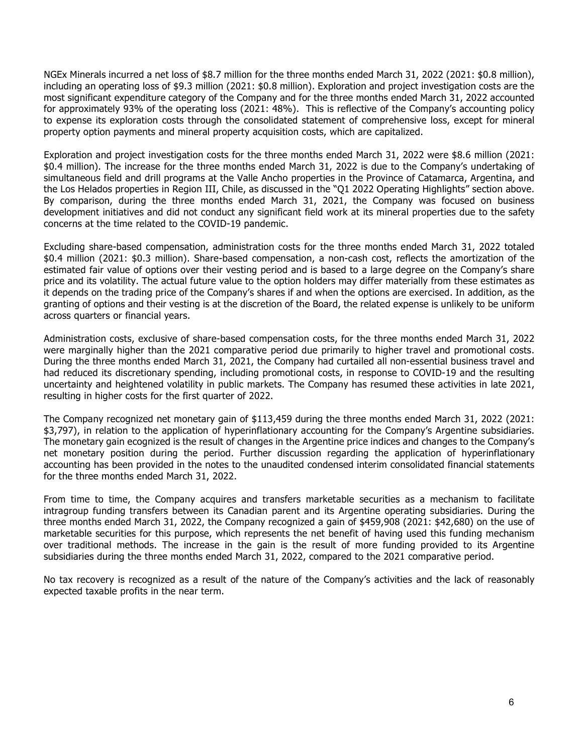NGEx Minerals incurred a net loss of \$8.7 million for the three months ended March 31, 2022 (2021: \$0.8 million), including an operating loss of \$9.3 million (2021: \$0.8 million). Exploration and project investigation costs are the most significant expenditure category of the Company and for the three months ended March 31, 2022 accounted for approximately 93% of the operating loss (2021: 48%). This is reflective of the Company's accounting policy to expense its exploration costs through the consolidated statement of comprehensive loss, except for mineral property option payments and mineral property acquisition costs, which are capitalized.

Exploration and project investigation costs for the three months ended March 31, 2022 were \$8.6 million (2021: \$0.4 million). The increase for the three months ended March 31, 2022 is due to the Company's undertaking of simultaneous field and drill programs at the Valle Ancho properties in the Province of Catamarca, Argentina, and the Los Helados properties in Region III, Chile, as discussed in the "Q1 2022 Operating Highlights" section above. By comparison, during the three months ended March 31, 2021, the Company was focused on business development initiatives and did not conduct any significant field work at its mineral properties due to the safety concerns at the time related to the COVID-19 pandemic.

Excluding share-based compensation, administration costs for the three months ended March 31, 2022 totaled \$0.4 million (2021: \$0.3 million). Share-based compensation, a non-cash cost, reflects the amortization of the estimated fair value of options over their vesting period and is based to a large degree on the Company's share price and its volatility. The actual future value to the option holders may differ materially from these estimates as it depends on the trading price of the Company's shares if and when the options are exercised. In addition, as the granting of options and their vesting is at the discretion of the Board, the related expense is unlikely to be uniform across quarters or financial years.

Administration costs, exclusive of share-based compensation costs, for the three months ended March 31, 2022 were marginally higher than the 2021 comparative period due primarily to higher travel and promotional costs. During the three months ended March 31, 2021, the Company had curtailed all non-essential business travel and had reduced its discretionary spending, including promotional costs, in response to COVID-19 and the resulting uncertainty and heightened volatility in public markets. The Company has resumed these activities in late 2021, resulting in higher costs for the first quarter of 2022.

The Company recognized net monetary gain of \$113,459 during the three months ended March 31, 2022 (2021: \$3,797), in relation to the application of hyperinflationary accounting for the Company's Argentine subsidiaries. The monetary gain ecognized is the result of changes in the Argentine price indices and changes to the Company's net monetary position during the period. Further discussion regarding the application of hyperinflationary accounting has been provided in the notes to the unaudited condensed interim consolidated financial statements for the three months ended March 31, 2022.

From time to time, the Company acquires and transfers marketable securities as a mechanism to facilitate intragroup funding transfers between its Canadian parent and its Argentine operating subsidiaries. During the three months ended March 31, 2022, the Company recognized a gain of \$459,908 (2021: \$42,680) on the use of marketable securities for this purpose, which represents the net benefit of having used this funding mechanism over traditional methods. The increase in the gain is the result of more funding provided to its Argentine subsidiaries during the three months ended March 31, 2022, compared to the 2021 comparative period.

No tax recovery is recognized as a result of the nature of the Company's activities and the lack of reasonably expected taxable profits in the near term.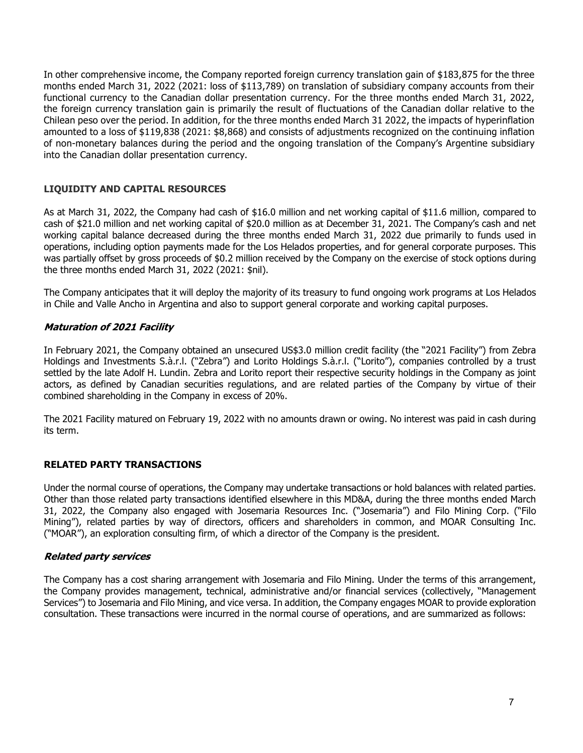In other comprehensive income, the Company reported foreign currency translation gain of \$183,875 for the three months ended March 31, 2022 (2021: loss of \$113,789) on translation of subsidiary company accounts from their functional currency to the Canadian dollar presentation currency. For the three months ended March 31, 2022, the foreign currency translation gain is primarily the result of fluctuations of the Canadian dollar relative to the Chilean peso over the period. In addition, for the three months ended March 31 2022, the impacts of hyperinflation amounted to a loss of \$119,838 (2021: \$8,868) and consists of adjustments recognized on the continuing inflation of non-monetary balances during the period and the ongoing translation of the Company's Argentine subsidiary into the Canadian dollar presentation currency.

# LIQUIDITY AND CAPITAL RESOURCES

As at March 31, 2022, the Company had cash of \$16.0 million and net working capital of \$11.6 million, compared to cash of \$21.0 million and net working capital of \$20.0 million as at December 31, 2021. The Company's cash and net working capital balance decreased during the three months ended March 31, 2022 due primarily to funds used in operations, including option payments made for the Los Helados properties, and for general corporate purposes. This was partially offset by gross proceeds of \$0.2 million received by the Company on the exercise of stock options during the three months ended March 31, 2022 (2021: \$nil).

The Company anticipates that it will deploy the majority of its treasury to fund ongoing work programs at Los Helados in Chile and Valle Ancho in Argentina and also to support general corporate and working capital purposes.

# Maturation of 2021 Facility

In February 2021, the Company obtained an unsecured US\$3.0 million credit facility (the "2021 Facility") from Zebra Holdings and Investments S.à.r.l. ("Zebra") and Lorito Holdings S.à.r.l. ("Lorito"), companies controlled by a trust settled by the late Adolf H. Lundin. Zebra and Lorito report their respective security holdings in the Company as joint actors, as defined by Canadian securities regulations, and are related parties of the Company by virtue of their combined shareholding in the Company in excess of 20%.

The 2021 Facility matured on February 19, 2022 with no amounts drawn or owing. No interest was paid in cash during its term.

# RELATED PARTY TRANSACTIONS

Under the normal course of operations, the Company may undertake transactions or hold balances with related parties. Other than those related party transactions identified elsewhere in this MD&A, during the three months ended March 31, 2022, the Company also engaged with Josemaria Resources Inc. ("Josemaria") and Filo Mining Corp. ("Filo Mining"), related parties by way of directors, officers and shareholders in common, and MOAR Consulting Inc. ("MOAR"), an exploration consulting firm, of which a director of the Company is the president.

# Related party services

The Company has a cost sharing arrangement with Josemaria and Filo Mining. Under the terms of this arrangement, the Company provides management, technical, administrative and/or financial services (collectively, "Management Services") to Josemaria and Filo Mining, and vice versa. In addition, the Company engages MOAR to provide exploration consultation. These transactions were incurred in the normal course of operations, and are summarized as follows: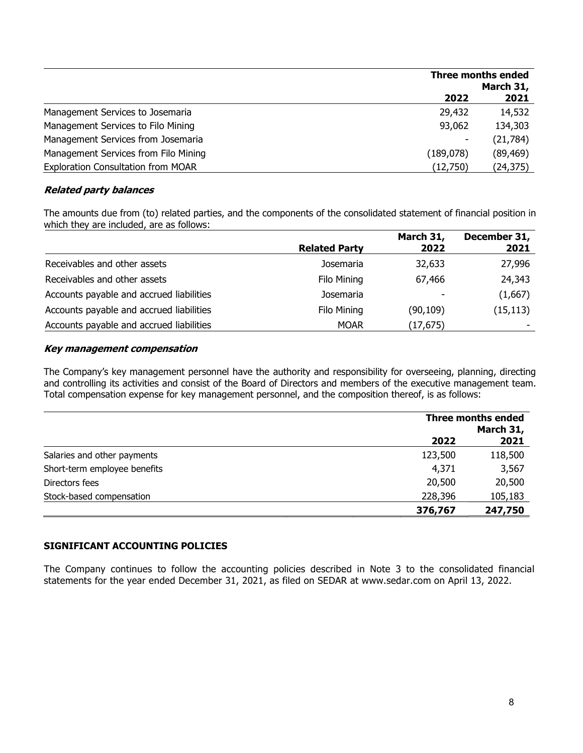|                                           | <b>Three months ended</b> |           |  |
|-------------------------------------------|---------------------------|-----------|--|
|                                           |                           | March 31, |  |
|                                           | 2022                      | 2021      |  |
| Management Services to Josemaria          | 29,432                    | 14,532    |  |
| Management Services to Filo Mining        | 93,062                    | 134,303   |  |
| Management Services from Josemaria        | ۰                         | (21, 784) |  |
| Management Services from Filo Mining      | (189,078)                 | (89, 469) |  |
| <b>Exploration Consultation from MOAR</b> | (12,750)                  | (24, 375) |  |

# Related party balances

The amounts due from (to) related parties, and the components of the consolidated statement of financial position in which they are included, are as follows:

|                                          |                      | March 31, | December 31, |
|------------------------------------------|----------------------|-----------|--------------|
|                                          | <b>Related Party</b> | 2022      | 2021         |
| Receivables and other assets             | Josemaria            | 32,633    | 27,996       |
| Receivables and other assets             | Filo Mining          | 67,466    | 24,343       |
| Accounts payable and accrued liabilities | Josemaria            |           | (1,667)      |
| Accounts payable and accrued liabilities | Filo Mining          | (90, 109) | (15, 113)    |
| Accounts payable and accrued liabilities | <b>MOAR</b>          | (17,675)  |              |

# Key management compensation

The Company's key management personnel have the authority and responsibility for overseeing, planning, directing and controlling its activities and consist of the Board of Directors and members of the executive management team. Total compensation expense for key management personnel, and the composition thereof, is as follows:

|                              |         | <b>Three months ended</b><br>March 31, |
|------------------------------|---------|----------------------------------------|
|                              | 2022    | 2021                                   |
| Salaries and other payments  | 123,500 | 118,500                                |
| Short-term employee benefits | 4,371   | 3,567                                  |
| Directors fees               | 20,500  | 20,500                                 |
| Stock-based compensation     | 228,396 | 105,183                                |
|                              | 376,767 | 247,750                                |

# SIGNIFICANT ACCOUNTING POLICIES

The Company continues to follow the accounting policies described in Note 3 to the consolidated financial statements for the year ended December 31, 2021, as filed on SEDAR at www.sedar.com on April 13, 2022.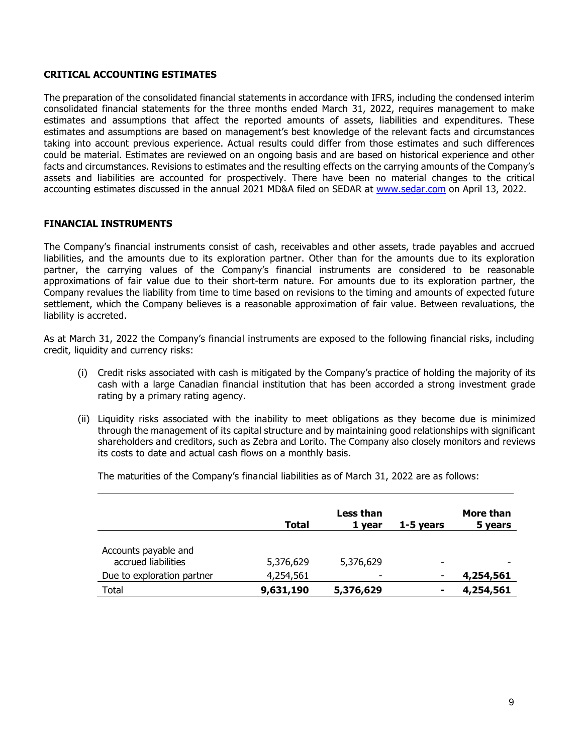### CRITICAL ACCOUNTING ESTIMATES

The preparation of the consolidated financial statements in accordance with IFRS, including the condensed interim consolidated financial statements for the three months ended March 31, 2022, requires management to make estimates and assumptions that affect the reported amounts of assets, liabilities and expenditures. These estimates and assumptions are based on management's best knowledge of the relevant facts and circumstances taking into account previous experience. Actual results could differ from those estimates and such differences could be material. Estimates are reviewed on an ongoing basis and are based on historical experience and other facts and circumstances. Revisions to estimates and the resulting effects on the carrying amounts of the Company's assets and liabilities are accounted for prospectively. There have been no material changes to the critical accounting estimates discussed in the annual 2021 MD&A filed on SEDAR at www.sedar.com on April 13, 2022.

#### FINANCIAL INSTRUMENTS

The Company's financial instruments consist of cash, receivables and other assets, trade payables and accrued liabilities, and the amounts due to its exploration partner. Other than for the amounts due to its exploration partner, the carrying values of the Company's financial instruments are considered to be reasonable approximations of fair value due to their short-term nature. For amounts due to its exploration partner, the Company revalues the liability from time to time based on revisions to the timing and amounts of expected future settlement, which the Company believes is a reasonable approximation of fair value. Between revaluations, the liability is accreted.

As at March 31, 2022 the Company's financial instruments are exposed to the following financial risks, including credit, liquidity and currency risks:

- (i) Credit risks associated with cash is mitigated by the Company's practice of holding the majority of its cash with a large Canadian financial institution that has been accorded a strong investment grade rating by a primary rating agency.
- (ii) Liquidity risks associated with the inability to meet obligations as they become due is minimized through the management of its capital structure and by maintaining good relationships with significant shareholders and creditors, such as Zebra and Lorito. The Company also closely monitors and reviews its costs to date and actual cash flows on a monthly basis.

The maturities of the Company's financial liabilities as of March 31, 2022 are as follows:

|                                             | Total     | Less than<br>1 year | 1-5 years                | More than<br>5 years |
|---------------------------------------------|-----------|---------------------|--------------------------|----------------------|
| Accounts payable and<br>accrued liabilities | 5,376,629 | 5,376,629           | $\overline{\phantom{0}}$ |                      |
| Due to exploration partner                  | 4,254,561 | ۰                   | ۰                        | 4,254,561            |
| <b>Total</b>                                | 9,631,190 | 5,376,629           |                          | 4,254,561            |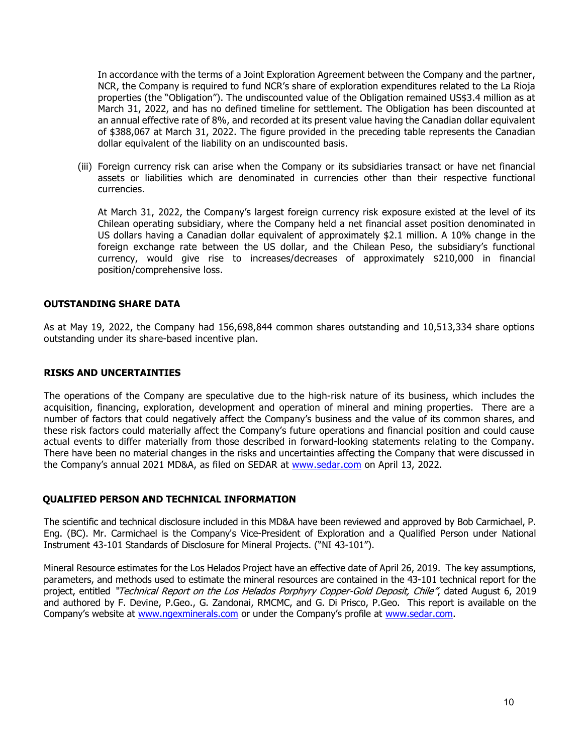In accordance with the terms of a Joint Exploration Agreement between the Company and the partner, NCR, the Company is required to fund NCR's share of exploration expenditures related to the La Rioja properties (the "Obligation"). The undiscounted value of the Obligation remained US\$3.4 million as at March 31, 2022, and has no defined timeline for settlement. The Obligation has been discounted at an annual effective rate of 8%, and recorded at its present value having the Canadian dollar equivalent of \$388,067 at March 31, 2022. The figure provided in the preceding table represents the Canadian dollar equivalent of the liability on an undiscounted basis.

(iii) Foreign currency risk can arise when the Company or its subsidiaries transact or have net financial assets or liabilities which are denominated in currencies other than their respective functional currencies.

At March 31, 2022, the Company's largest foreign currency risk exposure existed at the level of its Chilean operating subsidiary, where the Company held a net financial asset position denominated in US dollars having a Canadian dollar equivalent of approximately \$2.1 million. A 10% change in the foreign exchange rate between the US dollar, and the Chilean Peso, the subsidiary's functional currency, would give rise to increases/decreases of approximately \$210,000 in financial position/comprehensive loss.

# OUTSTANDING SHARE DATA

As at May 19, 2022, the Company had 156,698,844 common shares outstanding and 10,513,334 share options outstanding under its share-based incentive plan.

### RISKS AND UNCERTAINTIES

The operations of the Company are speculative due to the high-risk nature of its business, which includes the acquisition, financing, exploration, development and operation of mineral and mining properties. There are a number of factors that could negatively affect the Company's business and the value of its common shares, and these risk factors could materially affect the Company's future operations and financial position and could cause actual events to differ materially from those described in forward-looking statements relating to the Company. There have been no material changes in the risks and uncertainties affecting the Company that were discussed in the Company's annual 2021 MD&A, as filed on SEDAR at www.sedar.com on April 13, 2022.

# QUALIFIED PERSON AND TECHNICAL INFORMATION

The scientific and technical disclosure included in this MD&A have been reviewed and approved by Bob Carmichael, P. Eng. (BC). Mr. Carmichael is the Company's Vice-President of Exploration and a Qualified Person under National Instrument 43-101 Standards of Disclosure for Mineral Projects. ("NI 43-101").

Mineral Resource estimates for the Los Helados Project have an effective date of April 26, 2019. The key assumptions, parameters, and methods used to estimate the mineral resources are contained in the 43-101 technical report for the project, entitled "Technical Report on the Los Helados Porphyry Copper-Gold Deposit, Chile", dated August 6, 2019 and authored by F. Devine, P.Geo., G. Zandonai, RMCMC, and G. Di Prisco, P.Geo. This report is available on the Company's website at www.ngexminerals.com or under the Company's profile at www.sedar.com.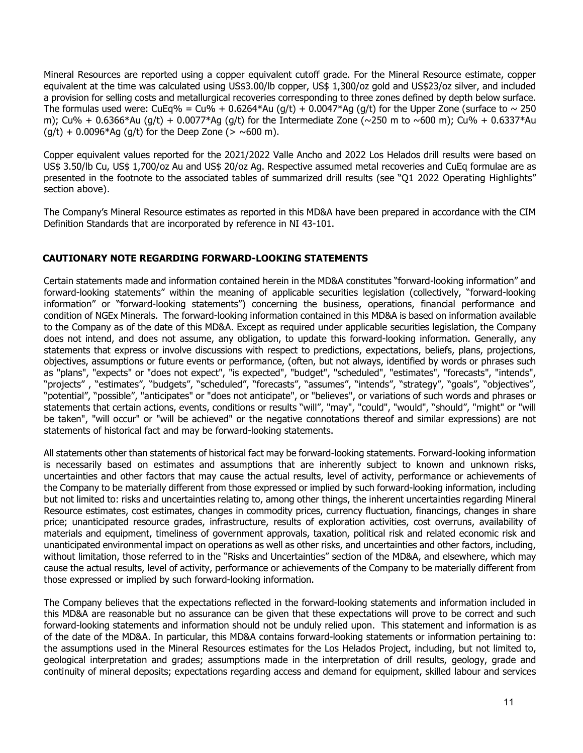Mineral Resources are reported using a copper equivalent cutoff grade. For the Mineral Resource estimate, copper equivalent at the time was calculated using US\$3.00/lb copper, US\$ 1,300/oz gold and US\$23/oz silver, and included a provision for selling costs and metallurgical recoveries corresponding to three zones defined by depth below surface. The formulas used were: CuEq% = Cu% + 0.6264\*Au (g/t) + 0.0047\*Ag (g/t) for the Upper Zone (surface to  $\sim$  250 m); Cu% + 0.6366\*Au (g/t) + 0.0077\*Ag (g/t) for the Intermediate Zone ( $\sim$ 250 m to  $\sim$ 600 m); Cu% + 0.6337\*Au  $(q/t) + 0.0096*$ Ag (g/t) for the Deep Zone ( $> \sim 600$  m).

Copper equivalent values reported for the 2021/2022 Valle Ancho and 2022 Los Helados drill results were based on US\$ 3.50/lb Cu, US\$ 1,700/oz Au and US\$ 20/oz Ag. Respective assumed metal recoveries and CuEq formulae are as presented in the footnote to the associated tables of summarized drill results (see "Q1 2022 Operating Highlights" section above).

The Company's Mineral Resource estimates as reported in this MD&A have been prepared in accordance with the CIM Definition Standards that are incorporated by reference in NI 43-101.

# CAUTIONARY NOTE REGARDING FORWARD-LOOKING STATEMENTS

Certain statements made and information contained herein in the MD&A constitutes "forward-looking information" and forward-looking statements" within the meaning of applicable securities legislation (collectively, "forward-looking information" or "forward-looking statements") concerning the business, operations, financial performance and condition of NGEx Minerals. The forward-looking information contained in this MD&A is based on information available to the Company as of the date of this MD&A. Except as required under applicable securities legislation, the Company does not intend, and does not assume, any obligation, to update this forward-looking information. Generally, any statements that express or involve discussions with respect to predictions, expectations, beliefs, plans, projections, objectives, assumptions or future events or performance, (often, but not always, identified by words or phrases such as "plans", "expects" or "does not expect", "is expected", "budget", "scheduled", "estimates", "forecasts", "intends", "projects" , "estimates", "budgets", "scheduled", "forecasts", "assumes", "intends", "strategy", "goals", "objectives", "potential", "possible", "anticipates" or "does not anticipate", or "believes", or variations of such words and phrases or statements that certain actions, events, conditions or results "will", "may", "could", "would", "should", "might" or "will be taken", "will occur" or "will be achieved" or the negative connotations thereof and similar expressions) are not statements of historical fact and may be forward-looking statements.

All statements other than statements of historical fact may be forward-looking statements. Forward-looking information is necessarily based on estimates and assumptions that are inherently subject to known and unknown risks, uncertainties and other factors that may cause the actual results, level of activity, performance or achievements of the Company to be materially different from those expressed or implied by such forward-looking information, including but not limited to: risks and uncertainties relating to, among other things, the inherent uncertainties regarding Mineral Resource estimates, cost estimates, changes in commodity prices, currency fluctuation, financings, changes in share price; unanticipated resource grades, infrastructure, results of exploration activities, cost overruns, availability of materials and equipment, timeliness of government approvals, taxation, political risk and related economic risk and unanticipated environmental impact on operations as well as other risks, and uncertainties and other factors, including, without limitation, those referred to in the "Risks and Uncertainties" section of the MD&A, and elsewhere, which may cause the actual results, level of activity, performance or achievements of the Company to be materially different from those expressed or implied by such forward-looking information.

The Company believes that the expectations reflected in the forward-looking statements and information included in this MD&A are reasonable but no assurance can be given that these expectations will prove to be correct and such forward-looking statements and information should not be unduly relied upon. This statement and information is as of the date of the MD&A. In particular, this MD&A contains forward-looking statements or information pertaining to: the assumptions used in the Mineral Resources estimates for the Los Helados Project, including, but not limited to, geological interpretation and grades; assumptions made in the interpretation of drill results, geology, grade and continuity of mineral deposits; expectations regarding access and demand for equipment, skilled labour and services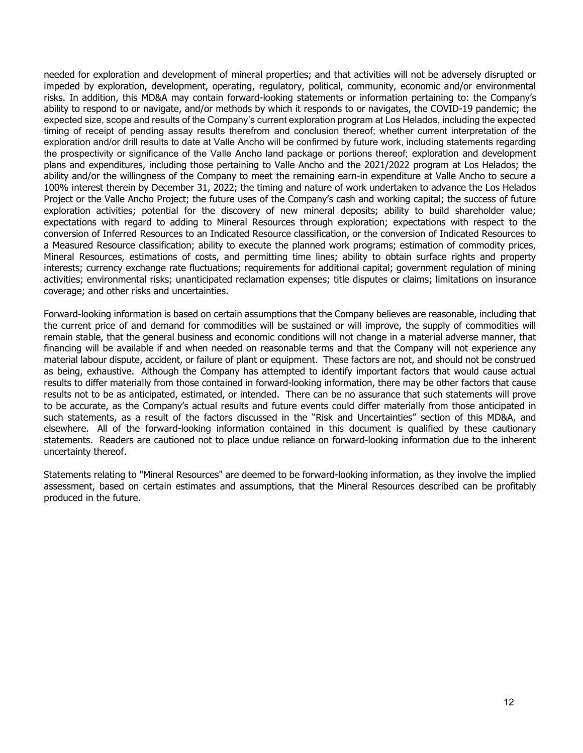needed for exploration and development of mineral properties; and that activities will not be adversely disrupted or impeded by exploration, development, operating, regulatory, political, community, economic and/or environmental risks. In addition, this MD&A may contain forward-looking statements or information pertaining to: the Company's ability to respond to or navigate, and/or methods by which it responds to or navigates, the COVID-19 pandemic; the expected size, scope and results of the Company's current exploration program at Los Helados, including the expected timing of receipt of pending assay results therefrom and conclusion thereof; whether current interpretation of the exploration and/or drill results to date at Valle Ancho will be confirmed by future work, including statements regarding the prospectivity or significance of the Valle Ancho land package or portions thereof; exploration and development plans and expenditures, including those pertaining to Valle Ancho and the 2021/2022 program at Los Helados; the ability and/or the willingness of the Company to meet the remaining earn-in expenditure at Valle Ancho to secure a 100% interest therein by December 31, 2022; the timing and nature of work undertaken to advance the Los Helados Project or the Valle Ancho Project; the future uses of the Company's cash and working capital; the success of future exploration activities; potential for the discovery of new mineral deposits; ability to build shareholder value; expectations with regard to adding to Mineral Resources through exploration; expectations with respect to the conversion of Inferred Resources to an Indicated Resource classification, or the conversion of Indicated Resources to a Measured Resource classification; ability to execute the planned work programs; estimation of commodity prices, Mineral Resources, estimations of costs, and permitting time lines; ability to obtain surface rights and property interests; currency exchange rate fluctuations; requirements for additional capital; government regulation of mining activities; environmental risks; unanticipated reclamation expenses; title disputes or claims; limitations on insurance coverage; and other risks and uncertainties.

Forward-looking information is based on certain assumptions that the Company believes are reasonable, including that the current price of and demand for commodities will be sustained or will improve, the supply of commodities will remain stable, that the general business and economic conditions will not change in a material adverse manner, that financing will be available if and when needed on reasonable terms and that the Company will not experience any material labour dispute, accident, or failure of plant or equipment. These factors are not, and should not be construed as being, exhaustive. Although the Company has attempted to identify important factors that would cause actual results to differ materially from those contained in forward-looking information, there may be other factors that cause results not to be as anticipated, estimated, or intended. There can be no assurance that such statements will prove to be accurate, as the Company's actual results and future events could differ materially from those anticipated in such statements, as a result of the factors discussed in the "Risk and Uncertainties" section of this MD&A, and elsewhere. All of the forward-looking information contained in this document is qualified by these cautionary statements. Readers are cautioned not to place undue reliance on forward-looking information due to the inherent uncertainty thereof.

Statements relating to "Mineral Resources" are deemed to be forward-looking information, as they involve the implied assessment, based on certain estimates and assumptions, that the Mineral Resources described can be profitably produced in the future.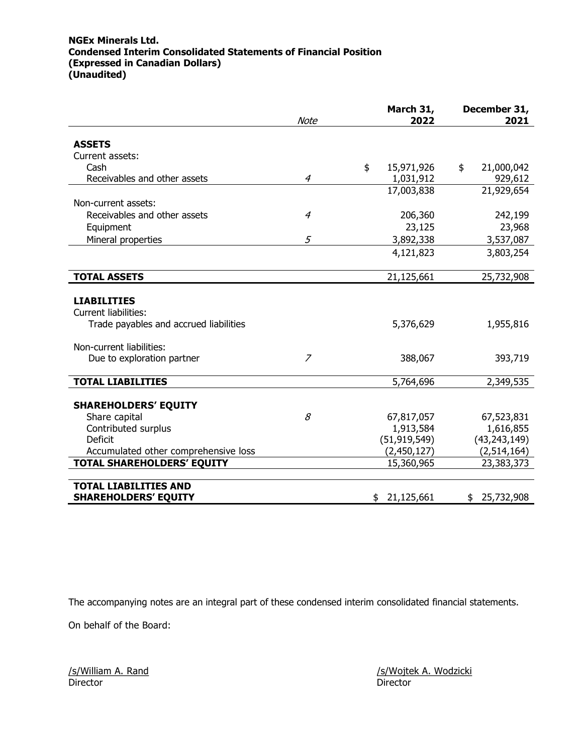# NGEx Minerals Ltd. Condensed Interim Consolidated Statements of Financial Position (Expressed in Canadian Dollars) (Unaudited)

|                                        | Note           |    | March 31,      |    | 2022           |  | December 31,<br>2021 |
|----------------------------------------|----------------|----|----------------|----|----------------|--|----------------------|
|                                        |                |    |                |    |                |  |                      |
| <b>ASSETS</b>                          |                |    |                |    |                |  |                      |
| Current assets:                        |                |    |                |    |                |  |                      |
| Cash                                   |                | \$ | 15,971,926     | \$ | 21,000,042     |  |                      |
| Receivables and other assets           | $\overline{4}$ |    | 1,031,912      |    | 929,612        |  |                      |
|                                        |                |    | 17,003,838     |    | 21,929,654     |  |                      |
| Non-current assets:                    |                |    |                |    |                |  |                      |
| Receivables and other assets           | $\overline{4}$ |    | 206,360        |    | 242,199        |  |                      |
| Equipment                              |                |    | 23,125         |    | 23,968         |  |                      |
| Mineral properties                     | 5              |    | 3,892,338      |    | 3,537,087      |  |                      |
|                                        |                |    | 4,121,823      |    | 3,803,254      |  |                      |
|                                        |                |    |                |    |                |  |                      |
| <b>TOTAL ASSETS</b>                    |                |    | 21,125,661     |    | 25,732,908     |  |                      |
|                                        |                |    |                |    |                |  |                      |
| <b>LIABILITIES</b>                     |                |    |                |    |                |  |                      |
| Current liabilities:                   |                |    |                |    |                |  |                      |
| Trade payables and accrued liabilities |                |    | 5,376,629      |    | 1,955,816      |  |                      |
|                                        |                |    |                |    |                |  |                      |
| Non-current liabilities:               |                |    |                |    |                |  |                      |
| Due to exploration partner             | $\overline{z}$ |    | 388,067        |    | 393,719        |  |                      |
|                                        |                |    |                |    |                |  |                      |
| <b>TOTAL LIABILITIES</b>               |                |    | 5,764,696      |    | 2,349,535      |  |                      |
|                                        |                |    |                |    |                |  |                      |
| <b>SHAREHOLDERS' EQUITY</b>            |                |    |                |    |                |  |                      |
| Share capital                          | 8              |    | 67,817,057     |    | 67,523,831     |  |                      |
| Contributed surplus                    |                |    | 1,913,584      |    | 1,616,855      |  |                      |
| <b>Deficit</b>                         |                |    | (51, 919, 549) |    | (43, 243, 149) |  |                      |
| Accumulated other comprehensive loss   |                |    | (2,450,127)    |    | (2,514,164)    |  |                      |
| <b>TOTAL SHAREHOLDERS' EQUITY</b>      |                |    | 15,360,965     |    | 23,383,373     |  |                      |
|                                        |                |    |                |    |                |  |                      |
| <b>TOTAL LIABILITIES AND</b>           |                |    |                |    |                |  |                      |
| <b>SHAREHOLDERS' EQUITY</b>            |                | \$ | 21,125,661     | \$ | 25,732,908     |  |                      |

The accompanying notes are an integral part of these condensed interim consolidated financial statements.

On behalf of the Board:

Director Director

/s/William A. Rand /s/William A. Rand /s/Wojtek A. Wodzicki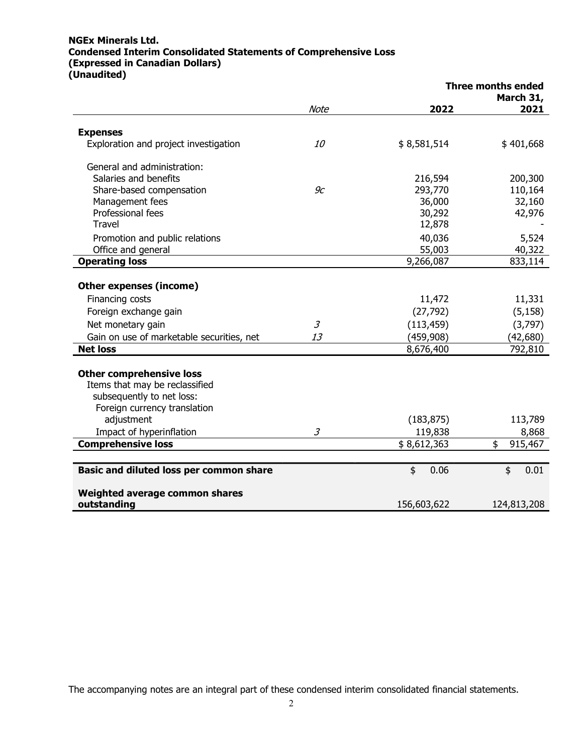# NGEx Minerals Ltd. Condensed Interim Consolidated Statements of Comprehensive Loss (Expressed in Canadian Dollars) (Unaudited)

|                                           |                |             | <b>Three months ended</b> |
|-------------------------------------------|----------------|-------------|---------------------------|
|                                           |                |             | March 31,                 |
|                                           | <b>Note</b>    | 2022        | 2021                      |
| <b>Expenses</b>                           |                |             |                           |
| Exploration and project investigation     | <i>10</i>      | \$8,581,514 | \$401,668                 |
| General and administration:               |                |             |                           |
| Salaries and benefits                     |                | 216,594     | 200,300                   |
| Share-based compensation                  | 9c             | 293,770     | 110,164                   |
| Management fees                           |                | 36,000      | 32,160                    |
| Professional fees                         |                | 30,292      | 42,976                    |
| <b>Travel</b>                             |                | 12,878      |                           |
| Promotion and public relations            |                | 40,036      | 5,524                     |
| Office and general                        |                | 55,003      | 40,322                    |
| <b>Operating loss</b>                     |                | 9,266,087   | 833,114                   |
|                                           |                |             |                           |
| <b>Other expenses (income)</b>            |                |             |                           |
| Financing costs                           |                | 11,472      | 11,331                    |
| Foreign exchange gain                     |                | (27, 792)   | (5, 158)                  |
| Net monetary gain                         | $\overline{3}$ | (113, 459)  | (3,797)                   |
| Gain on use of marketable securities, net | 13             | (459,908)   | (42, 680)                 |
| <b>Net loss</b>                           |                | 8,676,400   | 792,810                   |
|                                           |                |             |                           |
| <b>Other comprehensive loss</b>           |                |             |                           |
| Items that may be reclassified            |                |             |                           |
| subsequently to net loss:                 |                |             |                           |
| Foreign currency translation              |                |             |                           |
| adjustment                                |                | (183, 875)  | 113,789                   |
| Impact of hyperinflation                  | 3              | 119,838     | 8,868                     |
| <b>Comprehensive loss</b>                 |                | \$8,612,363 | \$<br>915,467             |
|                                           |                |             |                           |
| Basic and diluted loss per common share   |                | \$<br>0.06  | \$<br>0.01                |
| Weighted average common shares            |                |             |                           |
| outstanding                               |                | 156,603,622 | 124,813,208               |

The accompanying notes are an integral part of these condensed interim consolidated financial statements.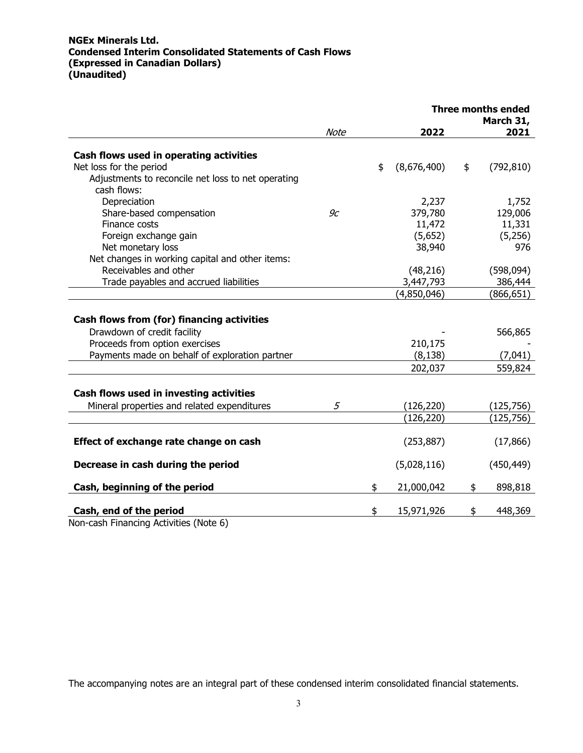# NGEx Minerals Ltd. Condensed Interim Consolidated Statements of Cash Flows (Expressed in Canadian Dollars) (Unaudited)

|                                                    |                | <b>Three months ended</b> |             |    |                   |
|----------------------------------------------------|----------------|---------------------------|-------------|----|-------------------|
|                                                    | Note           |                           | 2022        |    | March 31,<br>2021 |
| Cash flows used in operating activities            |                |                           |             |    |                   |
| Net loss for the period                            |                | \$                        | (8,676,400) | \$ | (792, 810)        |
| Adjustments to reconcile net loss to net operating |                |                           |             |    |                   |
| cash flows:                                        |                |                           |             |    |                   |
| Depreciation                                       |                |                           | 2,237       |    | 1,752             |
| Share-based compensation                           | 9 <sub>C</sub> |                           | 379,780     |    | 129,006           |
| Finance costs                                      |                |                           | 11,472      |    | 11,331            |
| Foreign exchange gain                              |                |                           | (5,652)     |    | (5,256)           |
| Net monetary loss                                  |                |                           | 38,940      |    | 976               |
| Net changes in working capital and other items:    |                |                           |             |    |                   |
| Receivables and other                              |                |                           | (48, 216)   |    | (598,094)         |
| Trade payables and accrued liabilities             |                |                           | 3,447,793   |    | 386,444           |
|                                                    |                |                           | (4,850,046) |    | (866, 651)        |
| Cash flows from (for) financing activities         |                |                           |             |    |                   |
| Drawdown of credit facility                        |                |                           |             |    | 566,865           |
| Proceeds from option exercises                     |                |                           | 210,175     |    |                   |
| Payments made on behalf of exploration partner     |                |                           | (8, 138)    |    | (7,041)           |
|                                                    |                |                           | 202,037     |    | 559,824           |
| Cash flows used in investing activities            |                |                           |             |    |                   |
| Mineral properties and related expenditures        | 5              |                           | (126, 220)  |    | (125, 756)        |
|                                                    |                |                           | (126, 220)  |    | (125, 756)        |
| Effect of exchange rate change on cash             |                |                           | (253, 887)  |    | (17, 866)         |
| Decrease in cash during the period                 |                |                           | (5,028,116) |    | (450, 449)        |
| Cash, beginning of the period                      |                | \$                        | 21,000,042  | \$ | 898,818           |
| Cash, end of the period                            |                | \$                        | 15,971,926  | \$ | 448,369           |

Non-cash Financing Activities (Note 6)

The accompanying notes are an integral part of these condensed interim consolidated financial statements.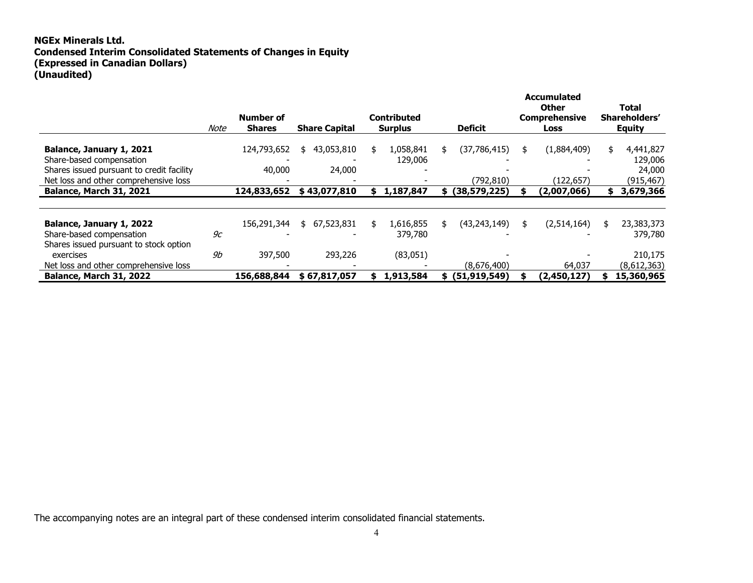# NGEx Minerals Ltd. Condensed Interim Consolidated Statements of Changes in Equity (Expressed in Canadian Dollars) (Unaudited)

|                                                                                    | Note | Number of<br><b>Shares</b> | <b>Share Capital</b> |     | <b>Contributed</b><br><b>Surplus</b> |    | <b>Deficit</b>                | <b>Accumulated</b><br><b>Other</b><br><b>Comprehensive</b><br><b>Loss</b> |    | Total<br>Shareholders'<br><b>Equity</b> |
|------------------------------------------------------------------------------------|------|----------------------------|----------------------|-----|--------------------------------------|----|-------------------------------|---------------------------------------------------------------------------|----|-----------------------------------------|
| Balance, January 1, 2021<br>Share-based compensation                               |      | 124,793,652                | 43,053,810<br>\$     |     | 1,058,841<br>129,006                 | \$ | (37,786,415)                  | \$<br>(1,884,409)                                                         |    | 4,441,827<br>\$<br>129,006              |
| Shares issued pursuant to credit facility<br>Net loss and other comprehensive loss |      | 40,000                     | 24,000               |     |                                      |    | (792,810)                     | (122, 657)                                                                |    | 24,000<br>(915,467)                     |
| Balance, March 31, 2021                                                            |      | 124,833,652                | \$43,077,810         |     | 1,187,847                            | S. | (38, 579, 225)                | (2,007,066)                                                               |    | 3,679,366                               |
| Balance, January 1, 2022<br>Share-based compensation                               | 9c   | 156,291,344                | 67,523,831<br>\$     | \$. | 1,616,855<br>379,780                 | \$ | (43, 243, 149)                | \$<br>(2,514,164)                                                         | \$ | 23,383,373<br>379,780                   |
| Shares issued pursuant to stock option<br>exercises                                | 9b   | 397,500                    | 293,226              |     | (83,051)                             |    |                               |                                                                           |    | 210,175                                 |
| Net loss and other comprehensive loss<br><b>Balance, March 31, 2022</b>            |      | 156,688,844                | \$67,817,057         |     | 1,913,584                            | S. | (8,676,400)<br>(51, 919, 549) | 64,037<br>(2,450,127)                                                     | S  | (8,612,363)<br>15,360,965               |

The accompanying notes are an integral part of these condensed interim consolidated financial statements.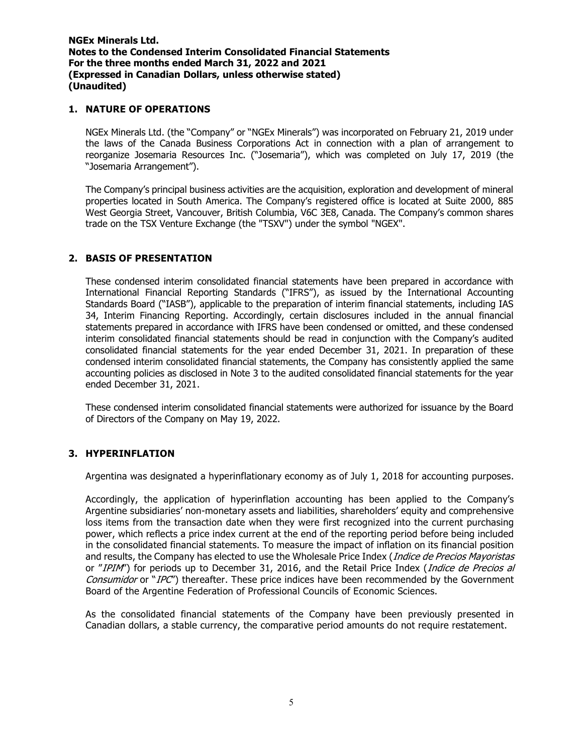### 1. NATURE OF OPERATIONS

NGEx Minerals Ltd. (the "Company" or "NGEx Minerals") was incorporated on February 21, 2019 under the laws of the Canada Business Corporations Act in connection with a plan of arrangement to reorganize Josemaria Resources Inc. ("Josemaria"), which was completed on July 17, 2019 (the "Josemaria Arrangement").

The Company's principal business activities are the acquisition, exploration and development of mineral properties located in South America. The Company's registered office is located at Suite 2000, 885 West Georgia Street, Vancouver, British Columbia, V6C 3E8, Canada. The Company's common shares trade on the TSX Venture Exchange (the "TSXV") under the symbol "NGEX".

#### 2. BASIS OF PRESENTATION

These condensed interim consolidated financial statements have been prepared in accordance with International Financial Reporting Standards ("IFRS"), as issued by the International Accounting Standards Board ("IASB"), applicable to the preparation of interim financial statements, including IAS 34, Interim Financing Reporting. Accordingly, certain disclosures included in the annual financial statements prepared in accordance with IFRS have been condensed or omitted, and these condensed interim consolidated financial statements should be read in conjunction with the Company's audited consolidated financial statements for the year ended December 31, 2021. In preparation of these condensed interim consolidated financial statements, the Company has consistently applied the same accounting policies as disclosed in Note 3 to the audited consolidated financial statements for the year ended December 31, 2021.

These condensed interim consolidated financial statements were authorized for issuance by the Board of Directors of the Company on May 19, 2022.

# 3. HYPERINFLATION

Argentina was designated a hyperinflationary economy as of July 1, 2018 for accounting purposes.

Accordingly, the application of hyperinflation accounting has been applied to the Company's Argentine subsidiaries' non-monetary assets and liabilities, shareholders' equity and comprehensive loss items from the transaction date when they were first recognized into the current purchasing power, which reflects a price index current at the end of the reporting period before being included in the consolidated financial statements. To measure the impact of inflation on its financial position and results, the Company has elected to use the Wholesale Price Index (*Indice de Precios Mayoristas* or "IPIM") for periods up to December 31, 2016, and the Retail Price Index (*Indice de Precios al* Consumidor or "IPC") thereafter. These price indices have been recommended by the Government Board of the Argentine Federation of Professional Councils of Economic Sciences.

As the consolidated financial statements of the Company have been previously presented in Canadian dollars, a stable currency, the comparative period amounts do not require restatement.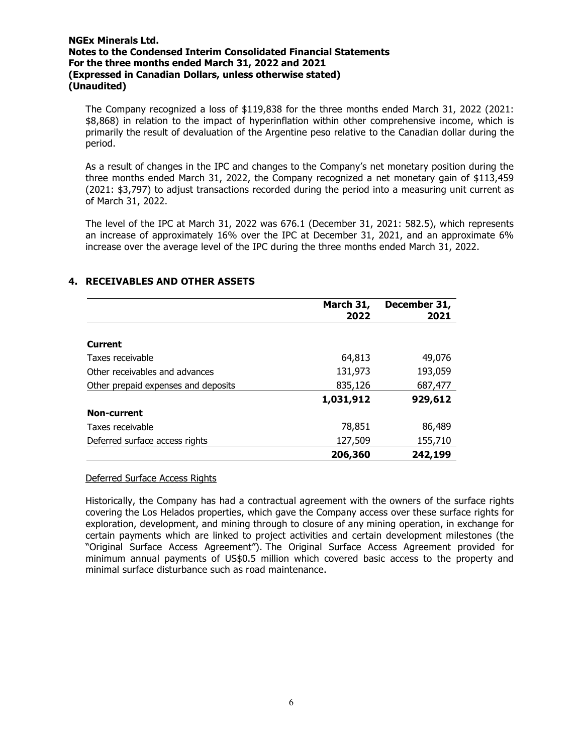The Company recognized a loss of \$119,838 for the three months ended March 31, 2022 (2021: \$8,868) in relation to the impact of hyperinflation within other comprehensive income, which is primarily the result of devaluation of the Argentine peso relative to the Canadian dollar during the period.

As a result of changes in the IPC and changes to the Company's net monetary position during the three months ended March 31, 2022, the Company recognized a net monetary gain of \$113,459 (2021: \$3,797) to adjust transactions recorded during the period into a measuring unit current as of March 31, 2022.

The level of the IPC at March 31, 2022 was 676.1 (December 31, 2021: 582.5), which represents an increase of approximately 16% over the IPC at December 31, 2021, and an approximate 6% increase over the average level of the IPC during the three months ended March 31, 2022.

# 4. RECEIVABLES AND OTHER ASSETS

|                                     | March 31, | December 31, |
|-------------------------------------|-----------|--------------|
|                                     | 2022      | 2021         |
|                                     |           |              |
| <b>Current</b>                      |           |              |
| Taxes receivable                    | 64,813    | 49,076       |
| Other receivables and advances      | 131,973   | 193,059      |
| Other prepaid expenses and deposits | 835,126   | 687,477      |
|                                     | 1,031,912 | 929,612      |
| <b>Non-current</b>                  |           |              |
| Taxes receivable                    | 78,851    | 86,489       |
| Deferred surface access rights      | 127,509   | 155,710      |
|                                     | 206,360   | 242,199      |

#### Deferred Surface Access Rights

Historically, the Company has had a contractual agreement with the owners of the surface rights covering the Los Helados properties, which gave the Company access over these surface rights for exploration, development, and mining through to closure of any mining operation, in exchange for certain payments which are linked to project activities and certain development milestones (the "Original Surface Access Agreement"). The Original Surface Access Agreement provided for minimum annual payments of US\$0.5 million which covered basic access to the property and minimal surface disturbance such as road maintenance.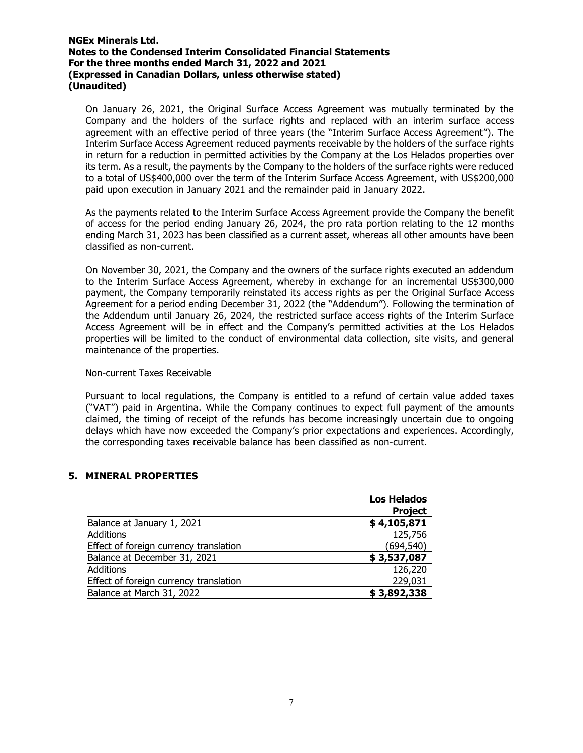On January 26, 2021, the Original Surface Access Agreement was mutually terminated by the Company and the holders of the surface rights and replaced with an interim surface access agreement with an effective period of three years (the "Interim Surface Access Agreement"). The Interim Surface Access Agreement reduced payments receivable by the holders of the surface rights in return for a reduction in permitted activities by the Company at the Los Helados properties over its term. As a result, the payments by the Company to the holders of the surface rights were reduced to a total of US\$400,000 over the term of the Interim Surface Access Agreement, with US\$200,000 paid upon execution in January 2021 and the remainder paid in January 2022.

As the payments related to the Interim Surface Access Agreement provide the Company the benefit of access for the period ending January 26, 2024, the pro rata portion relating to the 12 months ending March 31, 2023 has been classified as a current asset, whereas all other amounts have been classified as non-current.

On November 30, 2021, the Company and the owners of the surface rights executed an addendum to the Interim Surface Access Agreement, whereby in exchange for an incremental US\$300,000 payment, the Company temporarily reinstated its access rights as per the Original Surface Access Agreement for a period ending December 31, 2022 (the "Addendum"). Following the termination of the Addendum until January 26, 2024, the restricted surface access rights of the Interim Surface Access Agreement will be in effect and the Company's permitted activities at the Los Helados properties will be limited to the conduct of environmental data collection, site visits, and general maintenance of the properties.

#### Non-current Taxes Receivable

Pursuant to local regulations, the Company is entitled to a refund of certain value added taxes ("VAT") paid in Argentina. While the Company continues to expect full payment of the amounts claimed, the timing of receipt of the refunds has become increasingly uncertain due to ongoing delays which have now exceeded the Company's prior expectations and experiences. Accordingly, the corresponding taxes receivable balance has been classified as non-current.

# 5. MINERAL PROPERTIES

|                                        | <b>Los Helados</b> |
|----------------------------------------|--------------------|
|                                        | <b>Project</b>     |
| Balance at January 1, 2021             | \$4,105,871        |
| Additions                              | 125,756            |
| Effect of foreign currency translation | (694, 540)         |
| Balance at December 31, 2021           | \$3,537,087        |
| <b>Additions</b>                       | 126,220            |
| Effect of foreign currency translation | 229,031            |
| Balance at March 31, 2022              | \$3,892,338        |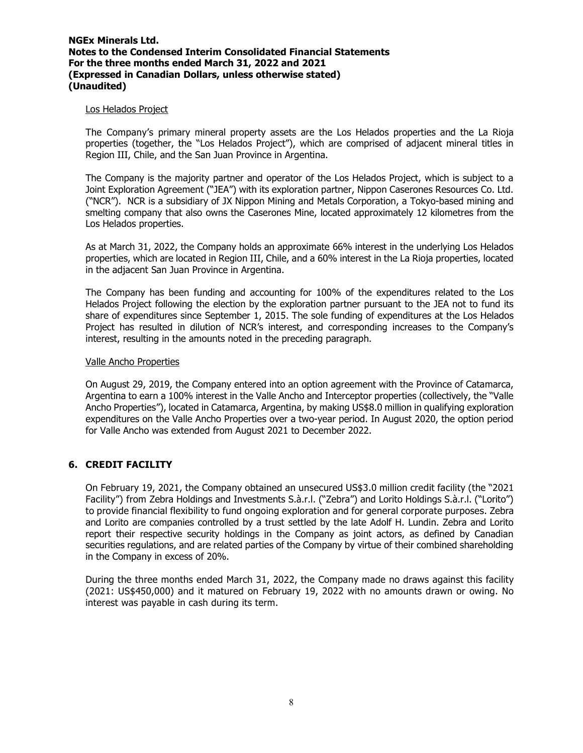#### Los Helados Project

The Company's primary mineral property assets are the Los Helados properties and the La Rioja properties (together, the "Los Helados Project"), which are comprised of adjacent mineral titles in Region III, Chile, and the San Juan Province in Argentina.

The Company is the majority partner and operator of the Los Helados Project, which is subject to a Joint Exploration Agreement ("JEA") with its exploration partner, Nippon Caserones Resources Co. Ltd. ("NCR"). NCR is a subsidiary of JX Nippon Mining and Metals Corporation, a Tokyo-based mining and smelting company that also owns the Caserones Mine, located approximately 12 kilometres from the Los Helados properties.

As at March 31, 2022, the Company holds an approximate 66% interest in the underlying Los Helados properties, which are located in Region III, Chile, and a 60% interest in the La Rioja properties, located in the adjacent San Juan Province in Argentina.

The Company has been funding and accounting for 100% of the expenditures related to the Los Helados Project following the election by the exploration partner pursuant to the JEA not to fund its share of expenditures since September 1, 2015. The sole funding of expenditures at the Los Helados Project has resulted in dilution of NCR's interest, and corresponding increases to the Company's interest, resulting in the amounts noted in the preceding paragraph.

#### Valle Ancho Properties

On August 29, 2019, the Company entered into an option agreement with the Province of Catamarca, Argentina to earn a 100% interest in the Valle Ancho and Interceptor properties (collectively, the "Valle Ancho Properties"), located in Catamarca, Argentina, by making US\$8.0 million in qualifying exploration expenditures on the Valle Ancho Properties over a two-year period. In August 2020, the option period for Valle Ancho was extended from August 2021 to December 2022.

# 6. CREDIT FACILITY

On February 19, 2021, the Company obtained an unsecured US\$3.0 million credit facility (the "2021 Facility") from Zebra Holdings and Investments S.à.r.l. ("Zebra") and Lorito Holdings S.à.r.l. ("Lorito") to provide financial flexibility to fund ongoing exploration and for general corporate purposes. Zebra and Lorito are companies controlled by a trust settled by the late Adolf H. Lundin. Zebra and Lorito report their respective security holdings in the Company as joint actors, as defined by Canadian securities regulations, and are related parties of the Company by virtue of their combined shareholding in the Company in excess of 20%.

During the three months ended March 31, 2022, the Company made no draws against this facility (2021: US\$450,000) and it matured on February 19, 2022 with no amounts drawn or owing. No interest was payable in cash during its term.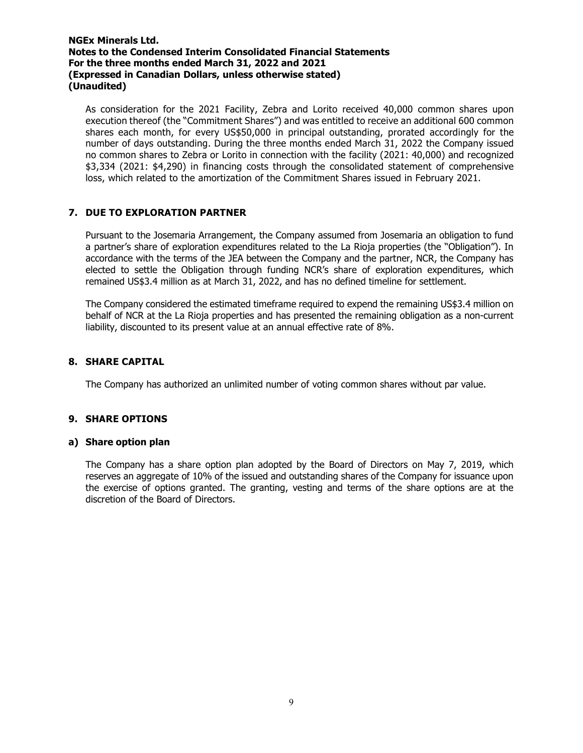As consideration for the 2021 Facility, Zebra and Lorito received 40,000 common shares upon execution thereof (the "Commitment Shares") and was entitled to receive an additional 600 common shares each month, for every US\$50,000 in principal outstanding, prorated accordingly for the number of days outstanding. During the three months ended March 31, 2022 the Company issued no common shares to Zebra or Lorito in connection with the facility (2021: 40,000) and recognized \$3,334 (2021: \$4,290) in financing costs through the consolidated statement of comprehensive loss, which related to the amortization of the Commitment Shares issued in February 2021.

# 7. DUE TO EXPLORATION PARTNER

Pursuant to the Josemaria Arrangement, the Company assumed from Josemaria an obligation to fund a partner's share of exploration expenditures related to the La Rioja properties (the "Obligation"). In accordance with the terms of the JEA between the Company and the partner, NCR, the Company has elected to settle the Obligation through funding NCR's share of exploration expenditures, which remained US\$3.4 million as at March 31, 2022, and has no defined timeline for settlement.

The Company considered the estimated timeframe required to expend the remaining US\$3.4 million on behalf of NCR at the La Rioja properties and has presented the remaining obligation as a non-current liability, discounted to its present value at an annual effective rate of 8%.

#### 8. SHARE CAPITAL

The Company has authorized an unlimited number of voting common shares without par value.

# 9. SHARE OPTIONS

#### a) Share option plan

The Company has a share option plan adopted by the Board of Directors on May 7, 2019, which reserves an aggregate of 10% of the issued and outstanding shares of the Company for issuance upon the exercise of options granted. The granting, vesting and terms of the share options are at the discretion of the Board of Directors.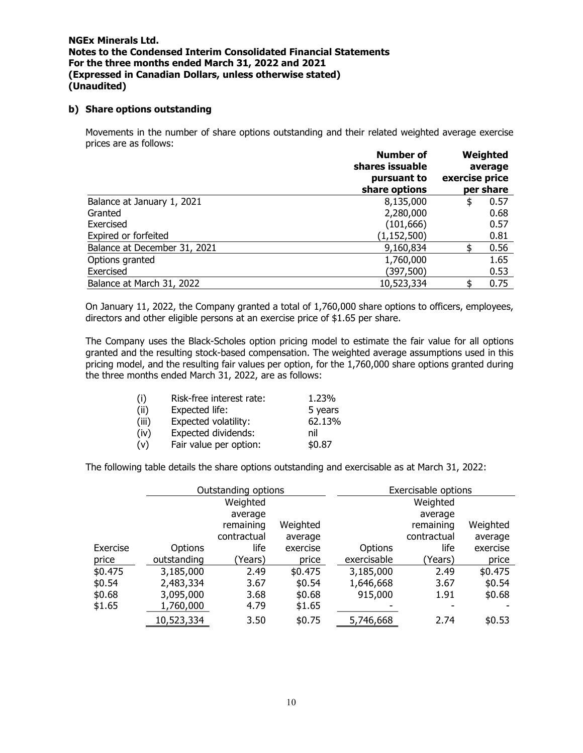#### b) Share options outstanding

Movements in the number of share options outstanding and their related weighted average exercise prices are as follows:

|                              | <b>Number of</b><br>shares issuable<br>pursuant to<br>share options | exercise price | Weighted<br>average<br>per share |
|------------------------------|---------------------------------------------------------------------|----------------|----------------------------------|
| Balance at January 1, 2021   | 8,135,000                                                           | \$             | 0.57                             |
| Granted                      | 2,280,000                                                           |                | 0.68                             |
| Exercised                    | (101, 666)                                                          |                | 0.57                             |
| Expired or forfeited         | (1,152,500)                                                         |                | 0.81                             |
| Balance at December 31, 2021 | 9,160,834                                                           |                | 0.56                             |
| Options granted              | 1,760,000                                                           |                | 1.65                             |
| Exercised                    | (397,500)                                                           |                | 0.53                             |
| Balance at March 31, 2022    | 10,523,334                                                          |                | 0.75                             |

On January 11, 2022, the Company granted a total of 1,760,000 share options to officers, employees, directors and other eligible persons at an exercise price of \$1.65 per share.

The Company uses the Black-Scholes option pricing model to estimate the fair value for all options granted and the resulting stock-based compensation. The weighted average assumptions used in this pricing model, and the resulting fair values per option, for the 1,760,000 share options granted during the three months ended March 31, 2022, are as follows:

| (i)   | Risk-free interest rate:   | 1.23%   |
|-------|----------------------------|---------|
| (ii)  | Expected life:             | 5 years |
| (iii) | Expected volatility:       | 62.13%  |
| (iv)  | <b>Expected dividends:</b> | nil     |
| (v)   | Fair value per option:     | \$0.87  |

The following table details the share options outstanding and exercisable as at March 31, 2022:

|          | Outstanding options |             |          |             | Exercisable options |          |
|----------|---------------------|-------------|----------|-------------|---------------------|----------|
|          |                     | Weighted    |          |             | Weighted            |          |
|          |                     | average     |          |             | average             |          |
|          |                     | remaining   | Weighted |             | remaining           | Weighted |
|          |                     | contractual | average  |             | contractual         | average  |
| Exercise | Options             | life        | exercise | Options     | life                | exercise |
| price    | outstanding         | Years)      | price    | exercisable | Years)              | price    |
| \$0.475  | 3,185,000           | 2.49        | \$0.475  | 3,185,000   | 2.49                | \$0.475  |
| \$0.54   | 2,483,334           | 3.67        | \$0.54   | 1,646,668   | 3.67                | \$0.54   |
| \$0.68   | 3,095,000           | 3.68        | \$0.68   | 915,000     | 1.91                | \$0.68   |
| \$1.65   | 1,760,000           | 4.79        | \$1.65   |             |                     |          |
|          | 10,523,334          | 3.50        | \$0.75   | 5,746,668   | 2.74                | \$0.53   |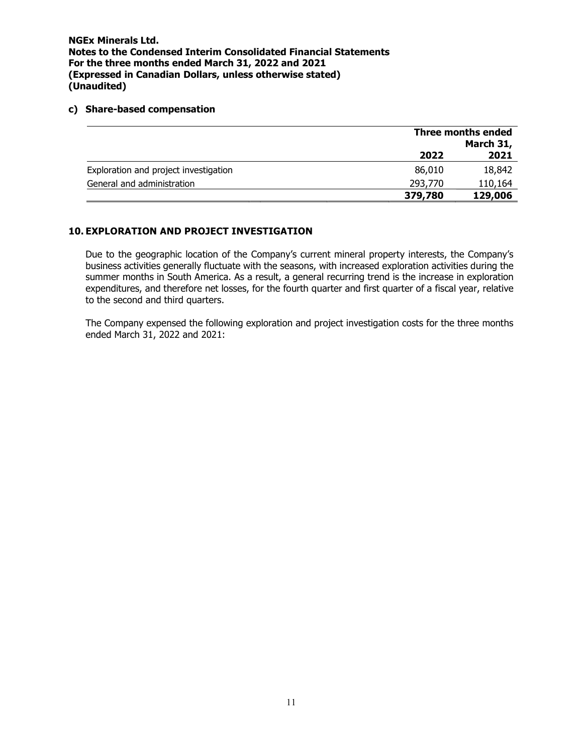### c) Share-based compensation

|                                       |         | Three months ended<br>March 31, |
|---------------------------------------|---------|---------------------------------|
|                                       | 2022    | 2021                            |
| Exploration and project investigation | 86,010  | 18,842                          |
| General and administration            | 293,770 | 110,164                         |
|                                       | 379,780 | 129,006                         |

# 10. EXPLORATION AND PROJECT INVESTIGATION

Due to the geographic location of the Company's current mineral property interests, the Company's business activities generally fluctuate with the seasons, with increased exploration activities during the summer months in South America. As a result, a general recurring trend is the increase in exploration expenditures, and therefore net losses, for the fourth quarter and first quarter of a fiscal year, relative to the second and third quarters.

The Company expensed the following exploration and project investigation costs for the three months ended March 31, 2022 and 2021: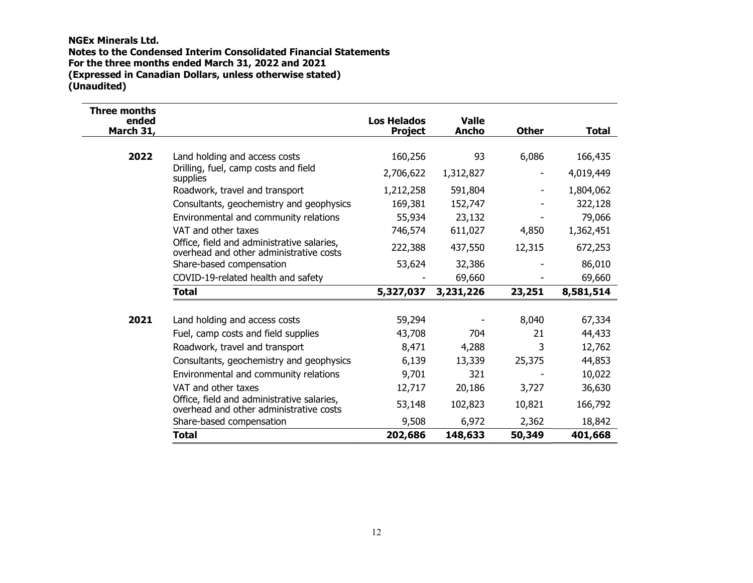| Three months<br>ended<br>March 31, |                                                                                       | <b>Los Helados</b><br><b>Project</b> | <b>Valle</b><br><b>Ancho</b> | <b>Other</b> | Total     |
|------------------------------------|---------------------------------------------------------------------------------------|--------------------------------------|------------------------------|--------------|-----------|
| 2022                               | Land holding and access costs                                                         | 160,256                              | 93                           | 6,086        | 166,435   |
|                                    | Drilling, fuel, camp costs and field<br>supplies                                      | 2,706,622                            | 1,312,827                    |              | 4,019,449 |
|                                    | Roadwork, travel and transport                                                        | 1,212,258                            | 591,804                      |              | 1,804,062 |
|                                    | Consultants, geochemistry and geophysics                                              | 169,381                              | 152,747                      |              | 322,128   |
|                                    | Environmental and community relations                                                 | 55,934                               | 23,132                       |              | 79,066    |
|                                    | VAT and other taxes                                                                   | 746,574                              | 611,027                      | 4,850        | 1,362,451 |
|                                    | Office, field and administrative salaries,<br>overhead and other administrative costs | 222,388                              | 437,550                      | 12,315       | 672,253   |
|                                    | Share-based compensation                                                              | 53,624                               | 32,386                       |              | 86,010    |
|                                    | COVID-19-related health and safety                                                    |                                      | 69,660                       |              | 69,660    |
|                                    | <b>Total</b>                                                                          | 5,327,037                            | 3,231,226                    | 23,251       | 8,581,514 |
| 2021                               | Land holding and access costs                                                         | 59,294                               |                              | 8,040        | 67,334    |
|                                    | Fuel, camp costs and field supplies                                                   | 43,708                               | 704                          | 21           | 44,433    |
|                                    | Roadwork, travel and transport                                                        | 8,471                                | 4,288                        | 3            | 12,762    |
|                                    | Consultants, geochemistry and geophysics                                              | 6,139                                | 13,339                       | 25,375       | 44,853    |
|                                    | Environmental and community relations                                                 | 9,701                                | 321                          |              | 10,022    |
|                                    | VAT and other taxes                                                                   | 12,717                               | 20,186                       | 3,727        | 36,630    |
|                                    | Office, field and administrative salaries,<br>overhead and other administrative costs | 53,148                               | 102,823                      | 10,821       | 166,792   |
|                                    | Share-based compensation                                                              | 9,508                                | 6,972                        | 2,362        | 18,842    |
|                                    | <b>Total</b>                                                                          | 202,686                              | 148,633                      | 50,349       | 401,668   |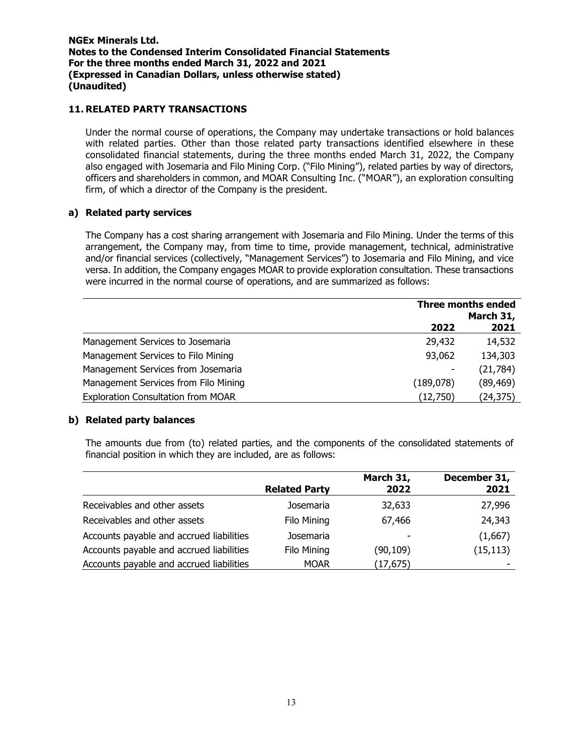# 11. RELATED PARTY TRANSACTIONS

Under the normal course of operations, the Company may undertake transactions or hold balances with related parties. Other than those related party transactions identified elsewhere in these consolidated financial statements, during the three months ended March 31, 2022, the Company also engaged with Josemaria and Filo Mining Corp. ("Filo Mining"), related parties by way of directors, officers and shareholders in common, and MOAR Consulting Inc. ("MOAR"), an exploration consulting firm, of which a director of the Company is the president.

#### a) Related party services

The Company has a cost sharing arrangement with Josemaria and Filo Mining. Under the terms of this arrangement, the Company may, from time to time, provide management, technical, administrative and/or financial services (collectively, "Management Services") to Josemaria and Filo Mining, and vice versa. In addition, the Company engages MOAR to provide exploration consultation. These transactions were incurred in the normal course of operations, and are summarized as follows:

|                                           |           | Three months ended |
|-------------------------------------------|-----------|--------------------|
|                                           |           | March 31,          |
|                                           | 2022      | 2021               |
| Management Services to Josemaria          | 29,432    | 14,532             |
| Management Services to Filo Mining        | 93,062    | 134,303            |
| Management Services from Josemaria        |           | (21,784)           |
| Management Services from Filo Mining      | (189,078) | (89, 469)          |
| <b>Exploration Consultation from MOAR</b> | (12,750)  | (24, 375)          |

#### b) Related party balances

The amounts due from (to) related parties, and the components of the consolidated statements of financial position in which they are included, are as follows:

|                                          |                      | March 31, | December 31, |
|------------------------------------------|----------------------|-----------|--------------|
|                                          | <b>Related Party</b> | 2022      | 2021         |
| Receivables and other assets             | Josemaria            | 32,633    | 27,996       |
| Receivables and other assets             | Filo Mining          | 67,466    | 24,343       |
| Accounts payable and accrued liabilities | Josemaria            | ٠         | (1,667)      |
| Accounts payable and accrued liabilities | Filo Mining          | (90,109)  | (15, 113)    |
| Accounts payable and accrued liabilities | <b>MOAR</b>          | (17, 675) |              |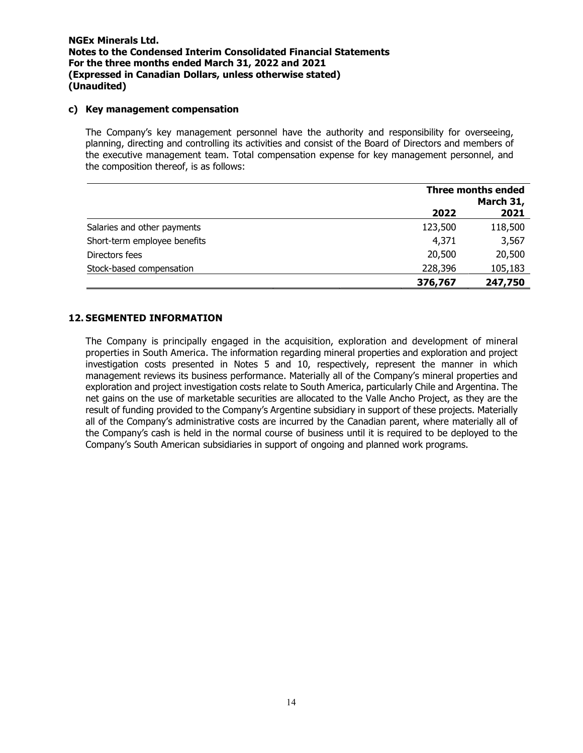#### c) Key management compensation

The Company's key management personnel have the authority and responsibility for overseeing, planning, directing and controlling its activities and consist of the Board of Directors and members of the executive management team. Total compensation expense for key management personnel, and the composition thereof, is as follows:

|                              |         | Three months ended |  |  |
|------------------------------|---------|--------------------|--|--|
|                              |         | March 31,          |  |  |
|                              | 2022    | 2021               |  |  |
| Salaries and other payments  | 123,500 | 118,500            |  |  |
| Short-term employee benefits | 4,371   | 3,567              |  |  |
| Directors fees               | 20,500  | 20,500             |  |  |
| Stock-based compensation     | 228,396 | 105,183            |  |  |
|                              | 376,767 | 247,750            |  |  |

# 12. SEGMENTED INFORMATION

The Company is principally engaged in the acquisition, exploration and development of mineral properties in South America. The information regarding mineral properties and exploration and project investigation costs presented in Notes 5 and 10, respectively, represent the manner in which management reviews its business performance. Materially all of the Company's mineral properties and exploration and project investigation costs relate to South America, particularly Chile and Argentina. The net gains on the use of marketable securities are allocated to the Valle Ancho Project, as they are the result of funding provided to the Company's Argentine subsidiary in support of these projects. Materially all of the Company's administrative costs are incurred by the Canadian parent, where materially all of the Company's cash is held in the normal course of business until it is required to be deployed to the Company's South American subsidiaries in support of ongoing and planned work programs.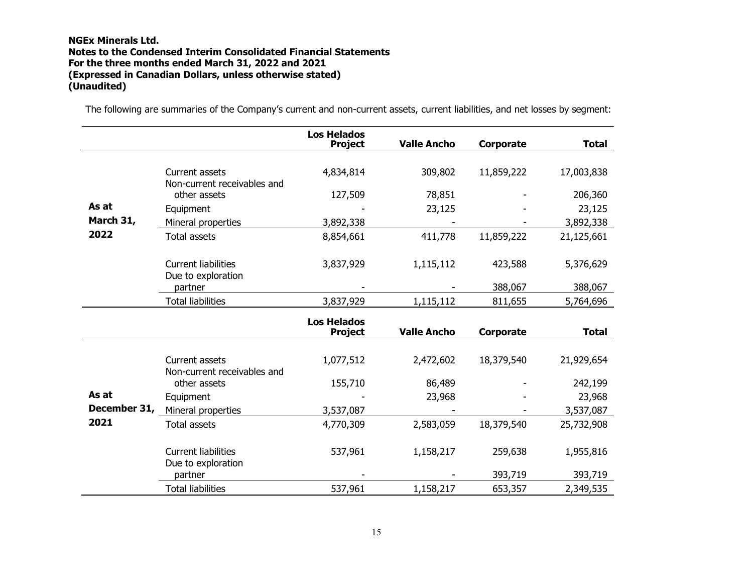The following are summaries of the Company's current and non-current assets, current liabilities, and net losses by segment:

|              |                                                  | <b>Los Helados</b><br><b>Project</b> | <b>Valle Ancho</b> | Corporate        | <b>Total</b> |
|--------------|--------------------------------------------------|--------------------------------------|--------------------|------------------|--------------|
|              |                                                  |                                      |                    |                  |              |
|              | Current assets                                   | 4,834,814                            | 309,802            | 11,859,222       | 17,003,838   |
|              | Non-current receivables and<br>other assets      | 127,509                              | 78,851             |                  | 206,360      |
| As at        | Equipment                                        |                                      | 23,125             |                  | 23,125       |
| March 31,    | Mineral properties                               | 3,892,338                            |                    |                  | 3,892,338    |
| 2022         | <b>Total assets</b>                              | 8,854,661                            | 411,778            | 11,859,222       | 21,125,661   |
|              |                                                  |                                      |                    |                  |              |
|              | <b>Current liabilities</b><br>Due to exploration | 3,837,929                            | 1,115,112          | 423,588          | 5,376,629    |
|              | partner                                          |                                      |                    | 388,067          | 388,067      |
|              | <b>Total liabilities</b>                         | 3,837,929                            | 1,115,112          | 811,655          | 5,764,696    |
|              |                                                  | <b>Los Helados</b>                   |                    |                  |              |
|              |                                                  | <b>Project</b>                       | <b>Valle Ancho</b> | <b>Corporate</b> | <b>Total</b> |
|              |                                                  |                                      |                    |                  |              |
|              | Current assets<br>Non-current receivables and    | 1,077,512                            | 2,472,602          | 18,379,540       | 21,929,654   |
|              | other assets                                     | 155,710                              | 86,489             |                  | 242,199      |
| As at        | Equipment                                        |                                      | 23,968             |                  | 23,968       |
| December 31, | Mineral properties                               | 3,537,087                            |                    |                  | 3,537,087    |
| 2021         | <b>Total assets</b>                              | 4,770,309                            | 2,583,059          | 18,379,540       | 25,732,908   |
|              |                                                  |                                      |                    |                  |              |
|              | <b>Current liabilities</b>                       | 537,961                              | 1,158,217          | 259,638          | 1,955,816    |
|              | Due to exploration<br>partner                    |                                      |                    | 393,719          | 393,719      |
|              | <b>Total liabilities</b>                         | 537,961                              | 1,158,217          | 653,357          | 2,349,535    |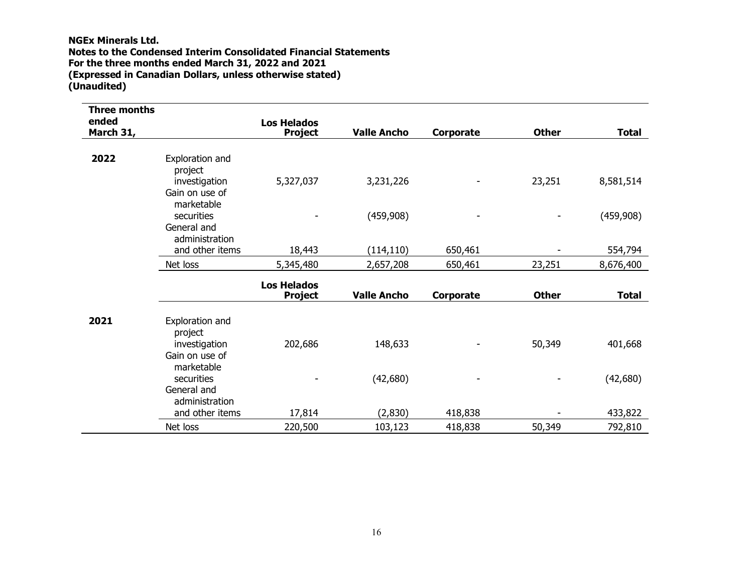| <b>Three months</b><br>ended |                                               | <b>Los Helados</b>                   |                    |           |              |              |
|------------------------------|-----------------------------------------------|--------------------------------------|--------------------|-----------|--------------|--------------|
| March 31,                    |                                               | <b>Project</b>                       | <b>Valle Ancho</b> | Corporate | <b>Other</b> | <b>Total</b> |
| 2022                         | Exploration and<br>project                    |                                      |                    |           |              |              |
|                              | investigation<br>Gain on use of<br>marketable | 5,327,037                            | 3,231,226          |           | 23,251       | 8,581,514    |
|                              | securities<br>General and<br>administration   |                                      | (459,908)          | -         |              | (459,908)    |
|                              | and other items                               | 18,443                               | (114, 110)         | 650,461   | ۰            | 554,794      |
|                              | Net loss                                      | 5,345,480                            | 2,657,208          | 650,461   | 23,251       | 8,676,400    |
|                              |                                               | <b>Los Helados</b><br><b>Project</b> | <b>Valle Ancho</b> | Corporate | <b>Other</b> | <b>Total</b> |
| 2021                         | Exploration and<br>project                    |                                      |                    |           |              |              |
|                              | investigation<br>Gain on use of<br>marketable | 202,686                              | 148,633            | -         | 50,349       | 401,668      |
|                              | securities<br>General and<br>administration   |                                      | (42,680)           | ۰         |              | (42,680)     |
|                              | and other items                               | 17,814                               | (2,830)            | 418,838   |              | 433,822      |
|                              | Net loss                                      | 220,500                              | 103,123            | 418,838   | 50,349       | 792,810      |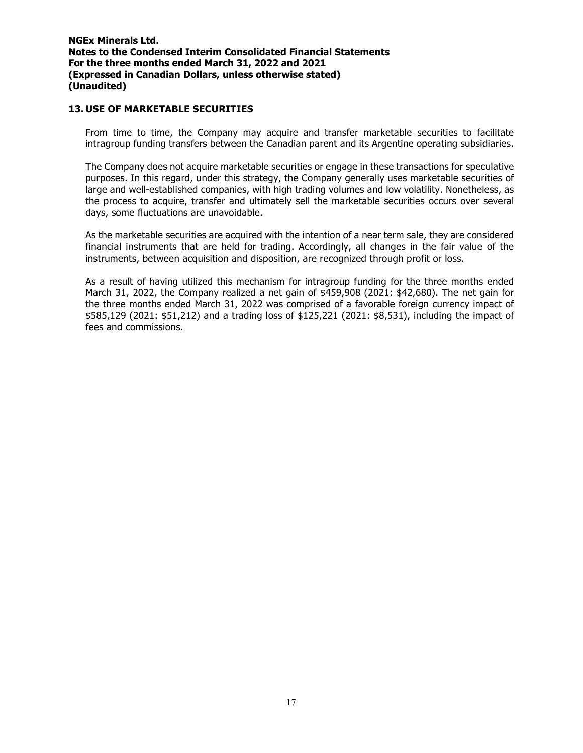#### 13. USE OF MARKETABLE SECURITIES

From time to time, the Company may acquire and transfer marketable securities to facilitate intragroup funding transfers between the Canadian parent and its Argentine operating subsidiaries.

The Company does not acquire marketable securities or engage in these transactions for speculative purposes. In this regard, under this strategy, the Company generally uses marketable securities of large and well-established companies, with high trading volumes and low volatility. Nonetheless, as the process to acquire, transfer and ultimately sell the marketable securities occurs over several days, some fluctuations are unavoidable.

As the marketable securities are acquired with the intention of a near term sale, they are considered financial instruments that are held for trading. Accordingly, all changes in the fair value of the instruments, between acquisition and disposition, are recognized through profit or loss.

As a result of having utilized this mechanism for intragroup funding for the three months ended March 31, 2022, the Company realized a net gain of \$459,908 (2021: \$42,680). The net gain for the three months ended March 31, 2022 was comprised of a favorable foreign currency impact of \$585,129 (2021: \$51,212) and a trading loss of \$125,221 (2021: \$8,531), including the impact of fees and commissions.